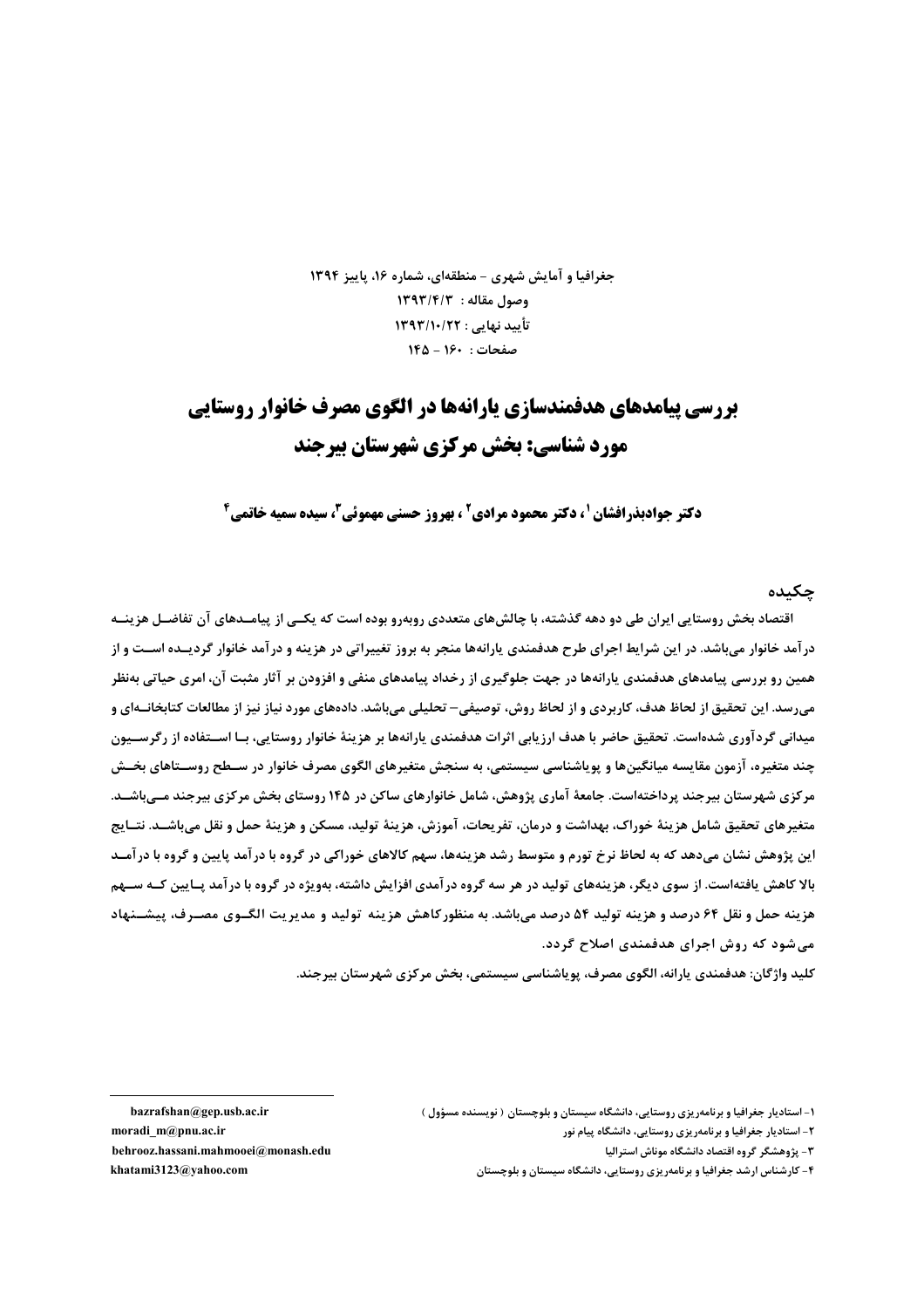جغرافیا و آمایش شهری - منطقهای، شماره ۱۶، پاییز ۱۳۹۴ 1393/19/3 : 1393/1 تأييد نهايي : ١٣٩٣/١٠/٢٢ صفحات : ١٤٠ - ١٤٥

# **بررسی پیامدهای هدفمندسازی پارانهها در الگوی مصرف خانوار روستایی** مورد شناسی: یخش مرکزی شهرستان پیرجند

**دکتر حوادیذرافشان '، دکتر محمود مرادی' ، بهروز حسنی مهموئی"، سیده سمیه خاتمی<sup>6</sup>** 

#### جكىدە

اقتصاد بخش روستایی ایران طی دو دهه گذشته، با چالشهای متعددی روبهرو بوده است که یکــی از پیامــدهای آن تفاضــل هزینــه در آمد خانوار می باشد. در این شرایط اجرای طرح هدفمندی پارانهها منجر به بروز تغییراتی در هزینه و در آمد خانوار گردیــده اســت و از همین رو بررسی پیامدهای هدفمندی پارانهها در جهت جلوگیری از رخداد پیامدهای منفی و افزودن بر آثار مثبت آن، امری حیاتی بهنظر می,رسد. این تحقیق از لحاظ هدف، کاربردی و از لحاظ روش، توصیفی– تحلیلی میباشد. دادههای مورد نیاز نیز از مطالعات كتابخانـهای و میدانی گردآوری شدهاست. تحقیق حاضر با هدف ارزیابی اثرات هدفمندی پارانهها بر هزینهٔ خانوار روستایی، بــا اســتفاده از رگرســیون چند متغیره، آزمون مقایسه میانگینها و پویاشناسی سیستمی، به سنجش متغیرهای الگوی مصرف خانوار در ســطح روســتاهای بخــش مرکزی شهرستان بیرجند پرداختهاست. جامعهٔ آماری پژوهش، شامل خانوارهای ساکن در ۱۴۵ روستای بخش مرکزی بیرجند مــیباشــد. متغيرهاي تحقيق شامل هزينهٔ خوراک، بهداشت و درمان، تفريحات، آموزش، هزينهٔ توليد، مسكن و هزينهٔ حمل و نقل مي باشــد. نتــايج این پژوهش نشان میدهد که به لحاظ نرخ تورم و متوسط رشد هزینهها، سهم کالاهای خوراکی در گروه با درآمد پایین و گروه با درآمـد بالا کاهش یافتهاست. از سوی دیگر، هزینههای تولید در هر سه گروه درآمدی افزایش داشته، بهویژه در گروه با درآمد پـایین کـه ســهم هزینه حمل و نقل ۶۴ درصد و هزینه تولید ۵۴ درصد میباشد. به منظور کاهش هزینه تولید و مدیریت الگـوی مصـرف، پیشــنهاد می شود که روش اجرای هدفمندی اصلاح گردد.

کلید واژگان: هدفمندی پارانه، الگوی مصرف، یوپاشناسی سیستمی، بخش مرکزی شهرستان بیرجند.

bazrafshan@gep.usb.ac.ir moradi\_m@pnu.ac.ir behrooz.hassani.mahmooei@monash.edu khatami3123@vahoo.com

۱- استادیار جغرافیا و برنامهریزی روستایی، دانشگاه سیستان و بلوچستان ( نویسنده مسؤول )

۲- استادیار جغرافیا و برنامهریزی روستایی، دانشگاه پیام نور

۳- پژوهشگر گروه اقتصاد دانشگاه موناش استرالیا

۴- کارشناس ارشد جغرافیا و برنامهریزی روستایی، دانشگاه سیستان و بلوچستان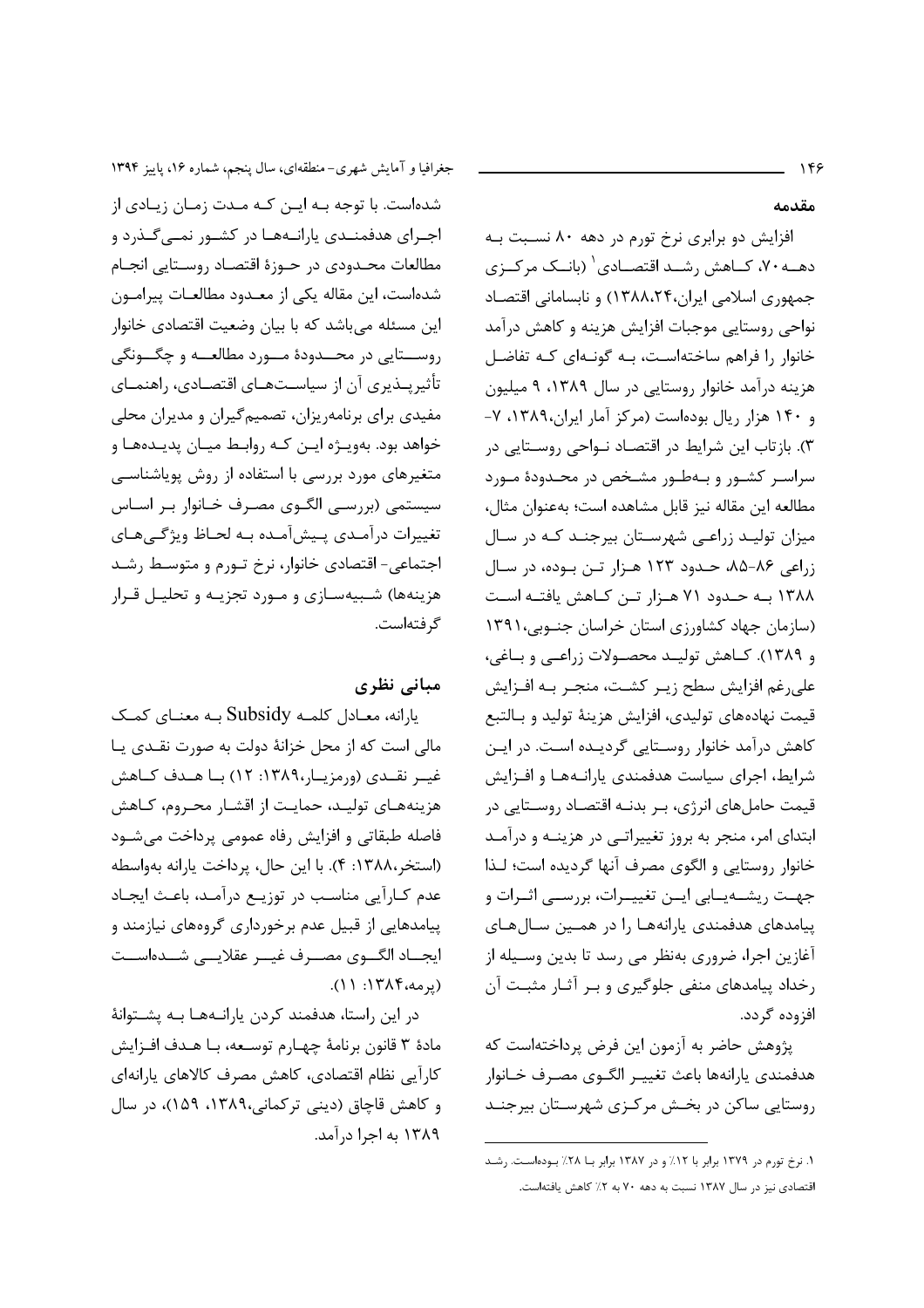مقدمه

افزايش دو برابري نرخ تورم در دهه ۸۰ نسـبت بـه دهــه ۷۰، کــاهش , شــد اقتصــادی <sup>(</sup> (بانــک مرکــزی جمهوری اسلامی ایران،۱۳۸۸،۲۴) و نابسامانی اقتصاد نواحی روستایی موجبات افزایش هزینه و کاهش درآمد خانوار را فراهم ساختهاست، بـه گونـهای کـه تفاضـل هزینه درآمد خانوار روستایی در سال ۱۳۸۹، ۹ میلیون و ۱۴۰ هزار ریال بودهاست (مرکز آمار ایران،۱۳۸۹، ۷-۳). بازتاب این شرایط در اقتصاد نـواحی روسـتایی در سراسـر کشـور و بـهطـور مشـخص در محـدودهٔ مـورد مطالعه اين مقاله نيز قابل مشاهده است؛ بهعنوان مثال، میزان تولیـد زراعـی شهرسـتان بیرجنـد کـه در سـال زراعی ۸۶-۸۵، حـدود ۱۲۳ هـزار تـن بـوده، در سـال ۱۳۸۸ به حدود ۷۱ هـزار تـن کـاهش یافتـه اسـت (سازمان جهاد کشاورزی استان خراسان جنوبی، ۱۳۹۱ و ١٣٨٩). كـاهش توليـد محصـولات زراعـي و بـاغي، على رغم افزايش سطح زيـر كشـت، منجـر بـه افـزايش قیمت نهادههای تولیدی، افزایش هزینهٔ تولید و بـالتبع كاهش درآمد خانوار روستايي گرديـده اسـت. در ايـن شرایط، اجرای سیاست هدفمندی پارانـههـا و افـزایش قیمت حاملهای انرژی، بـر بدنـه اقتصـاد روسـتایی در ابتدای امر، منجر به بروز تغییراتبی در هزینـه و درآمـد خانوار روستایی و الگوی مصرف آنها گردیده است؛ لـذا جهـت ريشــهيــابي ايــن تغييــرات، بررســي اثــرات و ییامدهای هدفمندی یارانههـا را در همـین سـالهـای آغازین اجرا، ضروری بهنظر می رسد تا بدین وسـیله از رخداد پیامدهای منفی جلوگیری و بر آثار مثبت آن افزوده گردد.

پژوهش حاضر به آزمون این فرض پرداختهاست که هدفمندي يارانهها باعث تغييـر الگــوي مصـرف خــانوار روستایی ساکن در بخش مرکزی شهرستان بیرجنـد

١. نرخ تورم در ١٣٧٩ برابر با ١٢٪ و در ١٣٨٧ برابر بـا ٢٨٪ بـودهاسـت. رشـد اقتصادی نیز در سال ۱۳۸۷ نسبت به دهه ۷۰ به ۲٪ کاهش یافتهاست.

جغرافیا و آمایش شهری-منطقهای، سال پنجم، شماره ۱۶، پاییز ۱۳۹۴ شدهاست. با توجه بــه ایــن کــه مــدت زمــان زیــادی از اجـرای هدفمنـدی پارانـههـا در کشـور نمـیگـذرد و مطالعات محـدودي در حـوزهٔ اقتصـاد روسـتايي انجـام شدهاست، این مقاله یکی از معـدود مطالعـات پیرامـون این مسئله میباشد که با بیان وضعیت اقتصادی خانوار روســـتايي در محــدودهٔ مــورد مطالعــه و چگــونگي تأثیریــذیری آن از سیاســتهــای اقتصــادی، راهنمــای مفیدی برای برنامهریزان، تصمیمگیران و مدیران محلی خواهد بود. بهويـژه ايـن كـه روابـط ميـان پديـدههـا و متغیرهای مورد بررسی با استفاده از روش پویاشناسی سیستمی (بررسی الگـوی مصـرف خـانوار بـر اسـاس تغییرات درآمـدی پـیشآمـده بـه لحـاظ ویژگـی هـای اجتماعی- اقتصادی خانوار، نرخ تـورم و متوسـط رشـد هزینهها) شـبیهسـازی و مـورد تجزیـه و تحلیـل قـرار گر فتهاست.

# مبانی نظری

يارانه، معـادل كلمـه Subsidy بـه معنـاي كمـك مالی است که از محل خزانهٔ دولت به صورت نقـدی یـا غیــر نقــدی (ورمزیــار،١٣٨٩: ١٢) بــا هــدف كــاهش هزینههـای تولیـد، حمایـت از اقشـار محـروم، کـاهش فاصله طبقاتي و افزايش رفاه عمومي پرداخت مي شود (استخر،١٣٨٨: ۴). با اين حال، پرداخت يارانه بهواسطه عدم كـارآيي مناسـب در توزيـع درآمـد، باعـث ايجـاد ییامدهایی از قبیل عدم برخورداری گروههای نیازمند و ايجــاد الكـــوى مصـــرف غيـــر عقلايـــى شـــدهاســت (يومه،١٣٨٤: ١١).

در این راستا، هدفمند کردن پارانـههـا بـه پشـتوانهٔ مادة ٣ قانون برنامة چهـارم توسـعه، بـا هـدف افـزايش كارآيي نظام اقتصادي، كاهش مصرف كالاهاي يارانهاي و كاهش قاچاق (ديني تركماني،١٣٨٩، ١۵٩)، در سال ١٣٨٩ به اجرا درآمد.

## $155$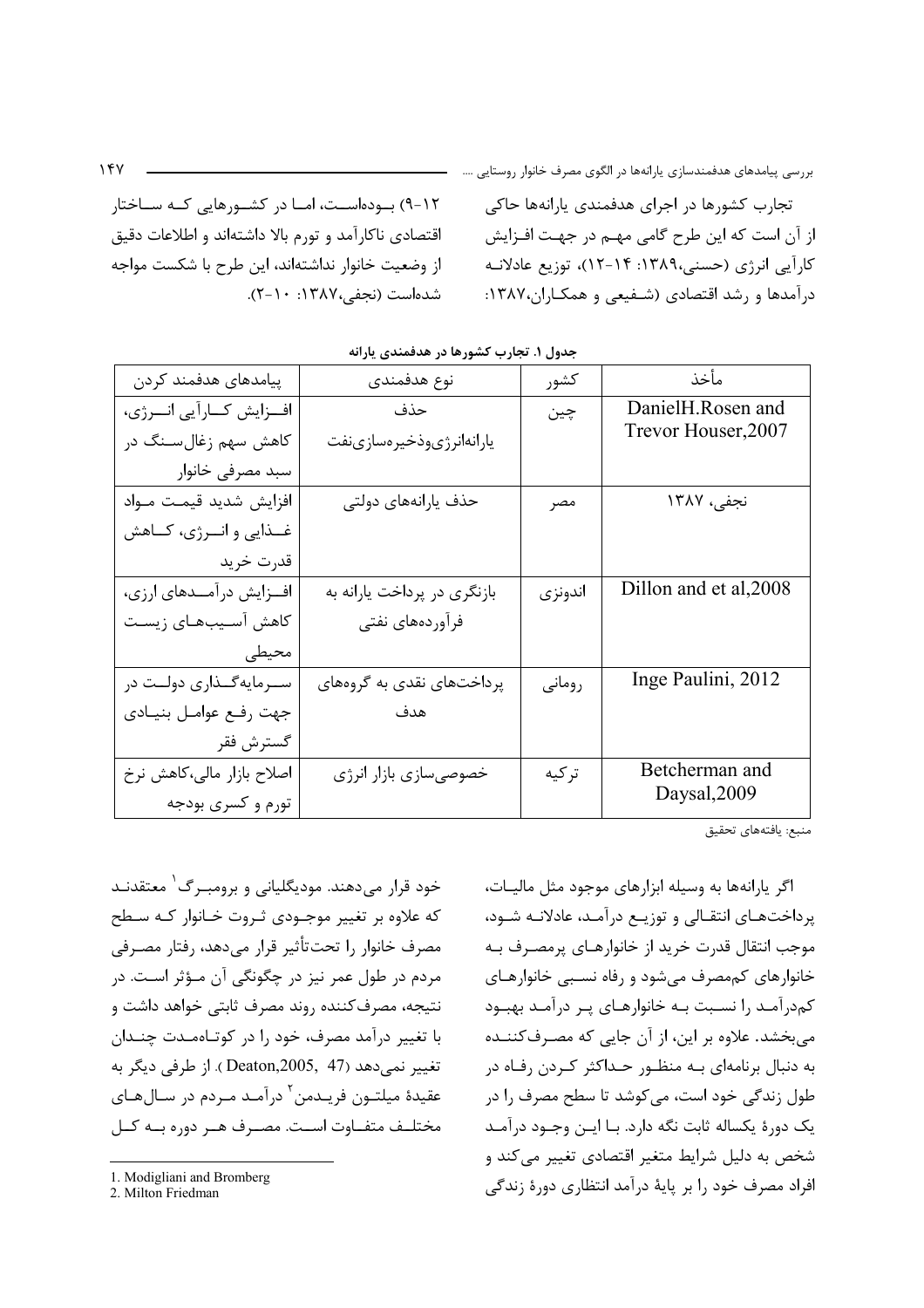۰۱۲) بهودهاسـت، امــا در کشــورهایی کــه ســاختار اقتصادی ناکارآمد و تورم بالا داشتهاند و اطلاعات دقیق از وضعیت خانوار نداشتهاند، این طرح با شکست مواجه شده است (نجفی،۱۳۸۷: ۲۰-۲).

تجارب کشورها در اجرای هدفمندی پارانهها حاکی از آن است که این طرح گامی مهـم در جهـت افــزایش کارآیی انرژی (حسنی،۱۳۸۹: ۱۴-۱۲)، توزیع عادلانـه درآمدها و رشد اقتصادی (شـفیعی و همکـاران،۱۳۸۷:

| پیامدهای هدفمند کردن      | نوع هدفمندى                 | كشور    | مأخذ                   |
|---------------------------|-----------------------------|---------|------------------------|
| افزایش کارآیی انرژی،      | حذف                         | چين     | DanielH.Rosen and      |
| کاهش سهم زغالسنگ در       | يارانهانرژىوذخيرهسازىنفت    |         | Trevor Houser, 2007    |
| سبد مصرفی خانوار          |                             |         |                        |
| افزايش شديد قيمت مـواد    | حذف يارانههاى دولتى         | مصر     | نجفي، ١٣٨٧             |
| غــذايي و انــرژي، كــاهش |                             |         |                        |
| قدرت خريد                 |                             |         |                        |
| افزایش درآمــدهای ارزی،   | بازنگری در پرداخت یارانه به | اندونزي | Dillon and et al, 2008 |
| كاهش آسـيبـهـاى زيسـت     | فرآوردههای نفتی             |         |                        |
| محيطى                     |                             |         |                        |
| سـرمايهگــذارى دولــت در  | پرداختهای نقدی به گروههای   | روماني  | Inge Paulini, 2012     |
| جهت رفع عوامل بنيادي      | هدف                         |         |                        |
| گسترش فقر                 |                             |         |                        |
| اصلاح بازار مالی،کاهش نرخ | خصوصي سازي بازار انرژي      | تر کیه  | Betcherman and         |
| تورم و کسری بودجه         |                             |         | Daysal, 2009           |

| مدول ۱. تجارب کشورها در هدفمندی یارانه |  |  |  |  |
|----------------------------------------|--|--|--|--|
|----------------------------------------|--|--|--|--|

منبع: يافتههاي تحقيق

اگر پارانهها به وسیله ابزارهای موجود مثل مالیـات، پرداختهـای انتقـالی و توزیـع درآمـد، عادلانـه شـود، موجب انتقال قدرت خريد از خانوارهـاي پرمصـرف بـه خانوارهای کممصرف می شود و رفاه نسبی خانوارهـای کمدرآمـد را نسـبت بـه خانوارهـای پـر درآمـد بهبـود می بخشد. علاوه بر این، از آن جایی که مصـرفکننــده به دنبال برنامهای بـه منظـور حـداکثر کـردن رفـاه در طول زندگی خود است، می کوشد تا سطح مصرف ۱٫ در یک دورهٔ یکساله ثابت نگه دارد. بـا ایــن وجــود درآمــد شخص به دلیل شرایط متغیر اقتصادی تغییر میکند و افراد مصرف خود را بر پایهٔ درآمد انتظاری دورهٔ زندگی

خود قرار میدهند. مودیگلیانی و برومبـرگ<sup>۱</sup> معتقدنـد که علاوه بر تغییر موجـودی ثـروت خـانوار کـه سـطح مصرف خانوار را تحت تأثير قرار مى دهد، رفتار مصرفى مردم در طول عمر نیز در چگونگی آن مـؤثر اسـت. در نتیجه، مصرف کننده روند مصرف ثابتی خواهد داشت و با تغییر درآمد مصرف، خود را در کوتاهمـدت چنـدان تغییر نمی،دهد (Deaton,2005, 47 ). از طرفی دیگر به عقيدة ميلتـون فريـدمن<sup>٢</sup> درآمـد مـردم در سـالهـاي مختلــف متفـــاوت اســت. مصـــرف هــر دوره بــه كــل

<sup>1.</sup> Modigliani and Bromberg

<sup>2.</sup> Milton Friedman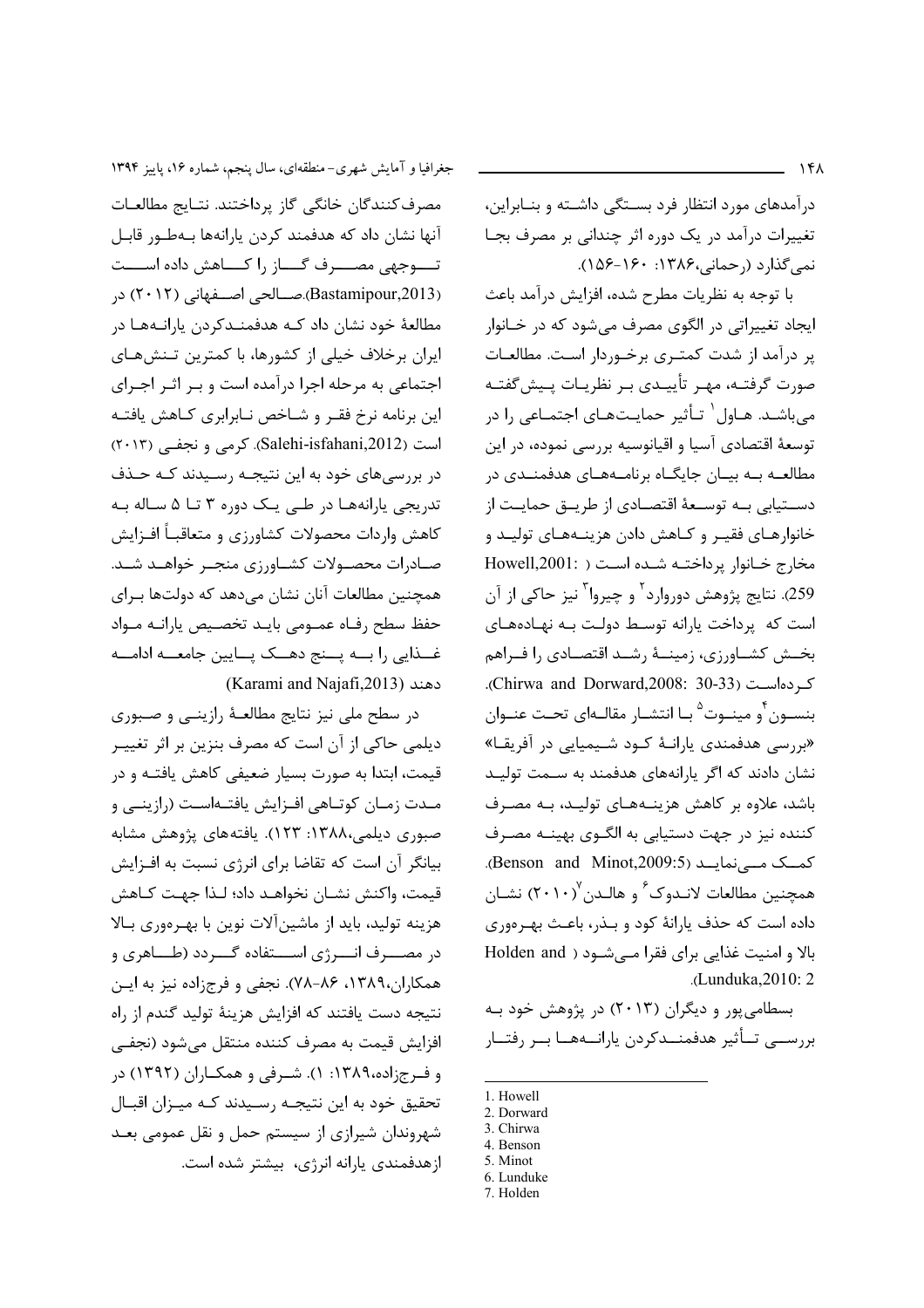درآمدهای مورد انتظار فرد بستگی داشته و بنـابراین، تغییرات درآمد در یک دوره اثر چندانی بر مصرف بجـا  $(108-19)$ ۰ (رحمانی، ۱۳۸۶).

با توجه به نظريات مطرح شده، افزايش درآمد باعث ايجاد تغييراتي در الگوي مصرف مي شود كه در خـانوار پر درآمد از شدت کمتـری برخـوردار اسـت. مطالعـات صورت گرفتـه، مهـر تأييـدي بـر نظريـات يـيش&فتـه می باشـد. هـاول` تـأثیر حمایـتهـای اجتمـاعی را در توسعهٔ اقتصادی آسیا و اقیانوسیه بررسی نموده، در این مطالعه به بیـان جایگـاه برنامـههـای هدفمنـدی در دســتيابي بــه توســعهٔ اقتصــادي از طريــق حمايــت از خانوارهـاي فقيـر و كـاهش دادن هزينــههـاي توليــد و مخارج خانوار پرداختـه شـده اسـت ( :Howell,2001 259). نتایج پژوهش دوروارد<sup>۲</sup> و چیروا<sup>۳</sup> نیز حاکی از آن است که پرداخت پارانه توسط دولت بـه نهـادههـای بخـش كشــاورزى، زمينــهٔ رشــد اقتصــادى را فــراهم كردهاست (Chirwa and Dorward,2008: 30-33). بنسـون ٔو مینـوت<sup>۵</sup> بـا انتشـار مقالـهای تحـت عنـوان «بررسی هدفمندی یارانـهٔ کـود شـیمیایی در آفریقـا» نشان دادند که اگر یا انههای هدفمند به ســمت تولیــد باشد، علاوه بر کاهش هزینـههـای تولیـد، بـه مصـرف کننده نیز در جهت دستیابی به الگــوی بهینــه مصــرف كمك مے نمایــد (Benson and Minot,2009:5). همچنین مطالعات لانـدوکے و هالـدن ۲۰۱۰) نشـان داده است که حذف پارانهٔ کود و بـذر، باعـث بهـرهوری بالا و امنیت غذایی برای فقرا می شود ( Holden and .(Lunduka, 2010: 2

بسطامی پور و دیگران (۲۰۱۳) در پژوهش خود به بررســي تــأثير هدفمنــدكردن يارانــههــا بــر رفتــار

- 1. Howell
- 2. Dorward 3. Chirwa
- 4. Benson
- 5. Minot
- 6. Lunduke
- 7. Holden

جغرافیا و آمایش شهری-منطقهای، سال پنجم، شماره ۱۶، پاییز ۱۳۹۴ مصرف كنندگان خانگي گاز پرداختند. نتـايج مطالعـات آنها نشان داد که هدفمند کردن پارانهها بـهطـور قابـل تــــوجهي مصــــرف گــــاز را كــــاهش داده اســــت (Bastamipour,2013).صــالحی اصــفهانی (۲۰۱۲) در مطالعهٔ خود نشان داد کـه هدفمنـدکردن یارانـههـا در ایران برخلاف خیلی از کشورها، با کمترین تـنش۵عای اجتماعی به مرحله اجرا درآمده است و بـر اثـر اجـرای این برنامه نرخ فقـر و شـاخص نـابرابری کـاهش یافتـه است (Salehi-isfahani,2012). کرمی و نجفی (۲۰۱۳) در بررسیهای خود به این نتیجـه رسـیدند کـه حـذف تدریجی پارانهها در طبی یک دوره ۳ تا ۵ ساله بـه كاهش واردات محصولات كشاورزي و متعاقبـاً افـزايش صـادرات محصـولات كشــاورزى منجــر خواهــد شــد. همچنین مطالعات آنان نشان می۵هد که دولتها بـرای حفظ سطح رفـاه عمـومى بايـد تخصـيص يارانـه مـواد غــذايي را بـــه يـــنج دهـــک يـــايين جامعـــه ادامـــه (Karami and Najafi,2013)

در سطح ملی نیز نتایج مطالعـهٔ رازینـی و صـبوری دیلمی حاکی از آن است که مصرف بنزین بر اثر تغییـر قیمت، ابتدا به صورت بسیار ضعیفی کاهش یافتــه و در مـدت زمـان كوتـاهي افـزايش يافتـهاسـت (رازينـي و صبوری دیلمی،۱۳۸۸: ۱۲۳). یافتههای پژوهش مشابه بیانگر آن است که تقاضا برای انرژی نسبت به افـزایش قيمت، واكنش نشـان نخواهـد داد؛ لـذا جهـت كـاهش هزینه تولید، باید از ماشین آلات نوین با بهـرهوری بـالا در مصــــرف انـــــرژي اســــتفاده گــــردد (طــــاهري و همکاران،۱۳۸۹، ۸۶-۷۸). نجفی و فرجزاده نیز به ایـن نتيجه دست يافتند كه افزايش هزينهٔ توليد گندم از راه افزايش قيمت به مصرف كننده منتقل مىشود (نجفى و فرجزاده،۱۳۸۹: ۱). شرفی و همکـاران (۱۳۹۲) در تحقیق خود به این نتیجـه رسـیدند کـه میـزان اقبـال شهروندان شیرازی از سیستم حمل و نقل عمومی بعـد ازهدفمندی پارانه انرژی، بیشتر شده است.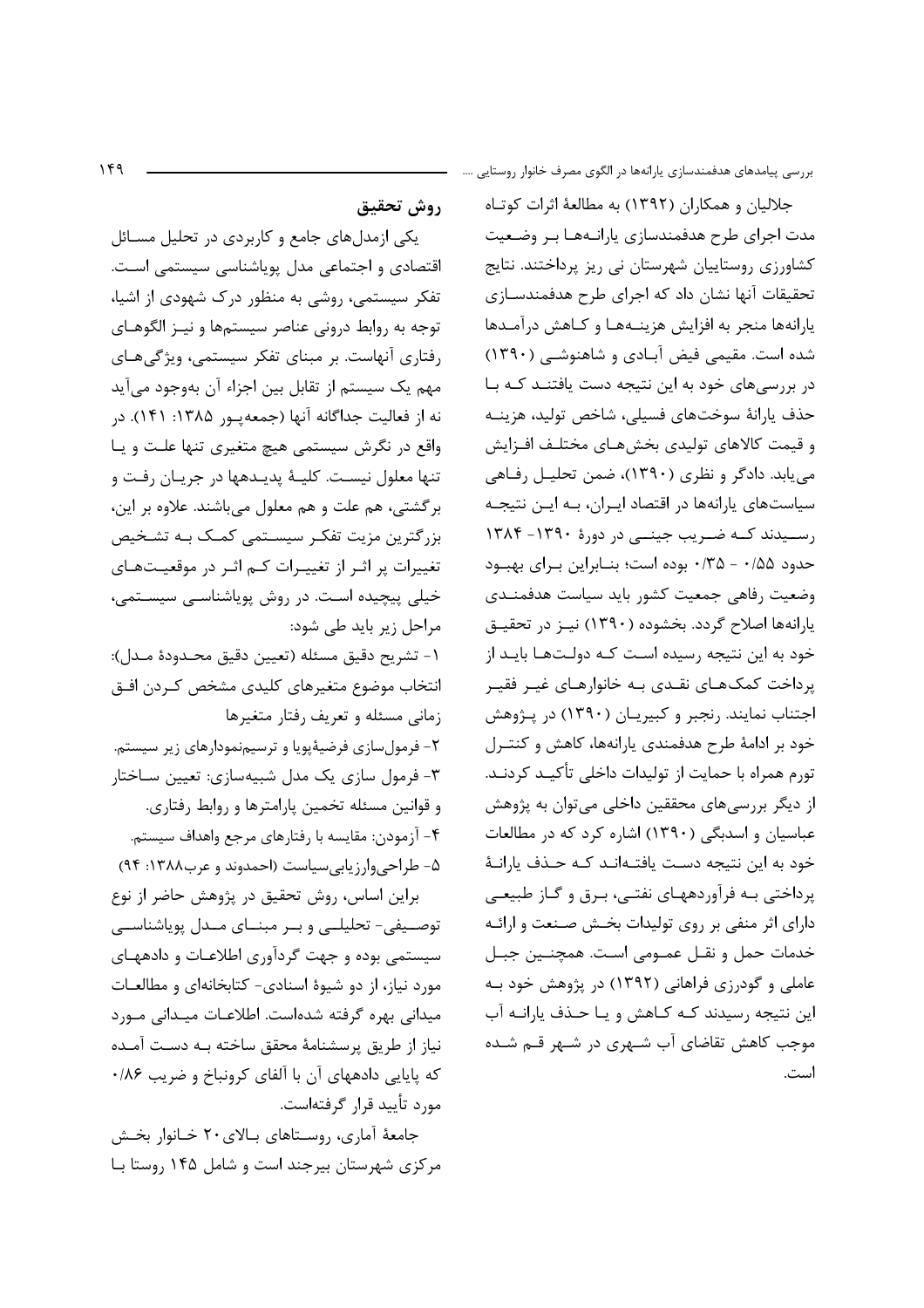$149$ 

بررسی پیامدهای هدفمندسازی پارانهها در الگوی مصرف خانوار روستایی ….

روش تحقيق

یکی ازمدلهای جامع و کاربردی در تحلیل مسـائل اقتصادی و اجتماعی مدل یویاشناسی سیستمی است. تفکر سیستمی، روشی به منظور درک شهودی از اشیا، توجه به روابط دروني عناصر سيستمها و نيـز الگوهـاي رفتاری آنهاست. بر مبنای تفکر سیستمی، ویژگیهای مهم یک سیستم از تقابل بین اجزاء آن بهوجود میآید نه از فعالیت جداگانه آنها (جمعه یور ۱۳۸۵: ۱۴۱). در واقع در نگرش سیستمی هیچ متغیری تنها علت و یا تنها معلول نيست. كليــهٔ پديـدهها در جريـان رفـت و برگشتی، هم علت و هم معلول میباشند. علاوه بر این، بزرگترین مزیت تفکـر سیسـتمی کمـک بـه تشـخیص تغییرات پر اثـر از تغییـرات کـم اثـر در موقعیـتهـای خیلی پیچیده است. در روش پویاشناسی سیستمی، مراحل زیر باید طی شود:

١- تشريح دقيق مسئله (تعيين دقيق محـدودة مـدل): انتخاب موضوع متغيرهاي كليدى مشخص كردن افـق زمانی مسئله و تعریف رفتار متغیرها

۲- فرمولسازی فرضیهٔپویا و ترسیمنمودارهای زیر سیستم. ۳- فرمول سازی یک مدل شبیهسازی: تعیین سـاختار و قوانین مسئله تخمین پارامترها و روابط رفتاری. ۴- آزمودن: مقايسه با رفتارهاي مرجع واهداف سيستم. ۵- طراحی وارزیابی سیاست (احمدوند و عرب۱۳۸۸: ۹۴)

براین اساس، روش تحقیق در پژوهش حاضر از نوع توصـيفى- تحليلـى و بـر مبنـاى مـدل پوياشناسـى سیستمی بوده و جهت گردآوری اطلاعـات و دادههـای مورد نیاز، از دو شیوهٔ اسنادی- کتابخانهای و مطالعات میدانی بهره گرفته شدهاست. اطلاعـات میـدانی مـورد نياز از طريق پرسشنامهٔ محقق ساخته بـه دسـت آمـده که پایایی دادههای آن با آلفای کرونباخ و ضریب ۰/۸۶ مورد تأييد قرار گرفتهاست.

جامعهٔ آماری، روستاهای بالای ۲۰ خـانوار بخـش مرکزی شهرستان بیرجند است و شامل ۱۴۵ ,وستا بـا

جلالیان و همکاران (۱۳۹۲) به مطالعهٔ اثرات کوتاه مدت اجرای طرح هدفمندسازی پارانـههـا بـر وضـعیت کشاورزی روستاییان شهرستان نی ریز پرداختند. نتایج تحقیقات آنها نشان داد که اجرای طرح هدفمندسـازی یارانهها منجر به افزایش هزینـههـا و کـاهش درآمـدها شده است. مقیمی فیض آبادی و شاهنوشـی (١٣٩٠) در بررسی های خود به این نتیجه دست یافتنـد کـه بـا حذف يارانهٔ سوختهای فسیلی، شاخص تولید، هزینـه و قيمت كالاهاي توليدي بخشهـاي مختلـف افـزايش می یابد. دادگر و نظری (۱۳۹۰)، ضمن تحلیـل رفـاهی سیاستهای پارانهها در اقتصاد ایـران، بـه ایـن نتیجـه رسیدند کـه ضـریب جینــی در دورهٔ ۱۳۹۰- ۱۳۸۴ حدود ۰/۵۵ - ۰/۳۵ بوده است؛ بنـابراين بـراي بهبـود وضعيت رفاهي جمعيت كشور بايد سياست هدفمنـدى یارانهها اصلاح گردد. بخشوده (۱۳۹۰) نیـز در تحقیـق خود به این نتیجه رسیده است کـه دولـتهـا بایـد از پرداخت کمکهای نقـدی بـه خانوارهـای غیـر فقیـر اجتناب نمایند. رنجبر و کبیریـان (۱۳۹۰) در پـژوهش خود بر ادامهٔ طرح هدفمندی پارانهها، کاهش و کنتـرل تورم همراه با حمايت از توليدات داخلي تأكيـد كردنـد. از دیگر بررسیهای محققین داخلی میتوان به پژوهش عباسیان و اسدبگی (١٣٩٠) اشاره کرد که در مطالعات خود به این نتیجه دست یافتـهانـد کـه حـذف یارانـهٔ پرداختی بـه فرآوردههـای نفتـی، بـرق و گـاز طبیعـی دارای اثر منفی بر روی تولیدات بخش صنعت و ارائـه خدمات حمل و نقـل عمـومی اسـت. همچنـین جبـل عاملی و گودرزی فراهانی (۱۳۹۲) در پژوهش خود بـه این نتیجه رسیدند کـه کـاهش و یـا حـذف پارانـه آب موجب کاهش تقاضای آب شـهری در شـهر قـم شـده است.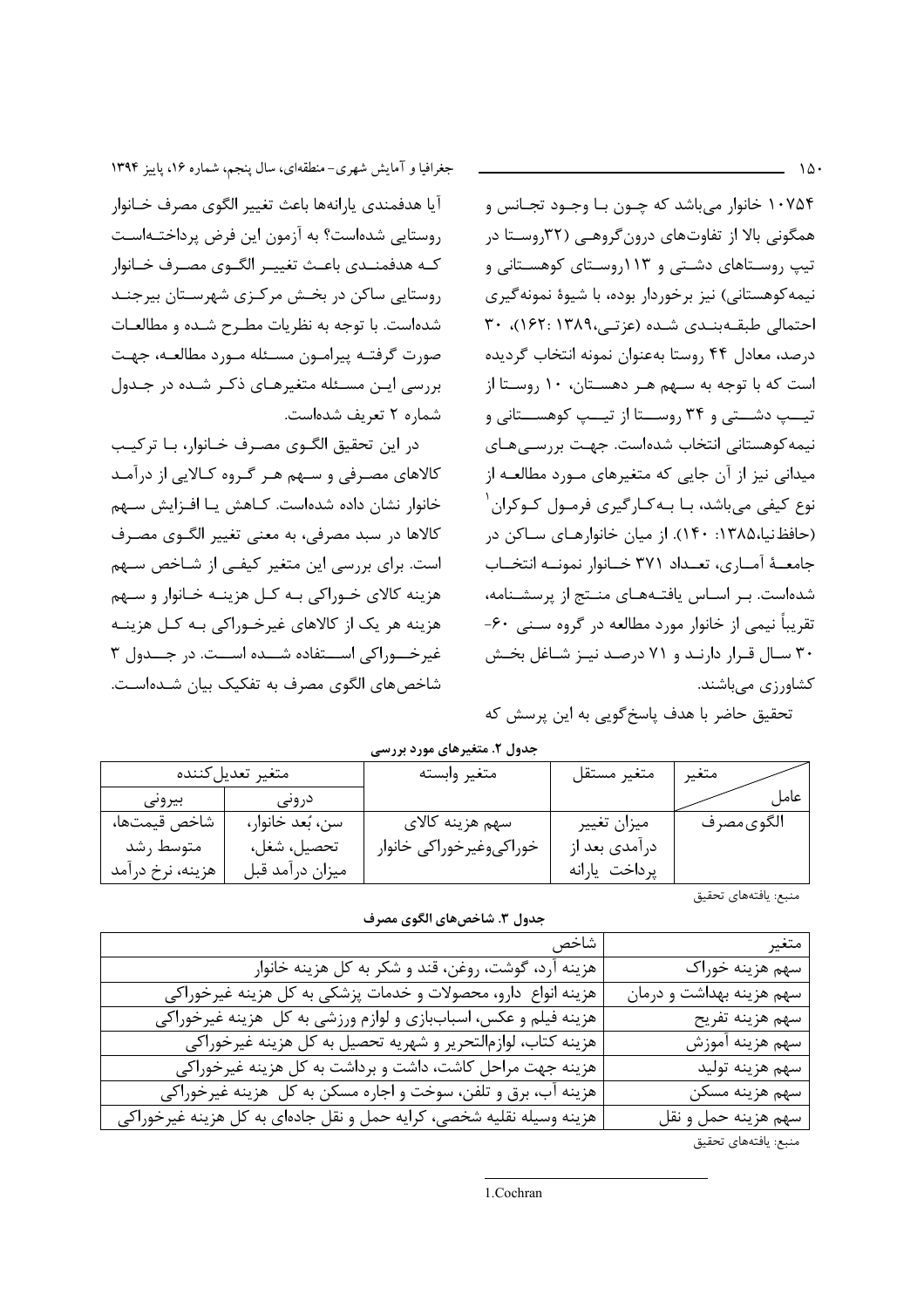$\Lambda$ .

۱۰۷۵۴ خانوا, مے باشد که چــون بـا وجــود تجــانس و همگونی بالا از تفاوتهای درون گروهـی (۳۲روسـتا در تیپ روستاهای دشتی و ۱۱۳روستای کوهستانی و نیمه کوهستانی) نیز برخوردار بوده، با شیوهٔ نمونه گیری احتمالی طبقهبندی شده (عزتی،١٣٨٩: ١۶٢)، ٣٠ درصد، معادل ۴۴ روستا بهعنوان نمونه انتخاب گرديده است که با توجه به سهم هـر دهسـتان، ١٠ روسـتا از تیــپ دشــتی و ۳۴ روســتا از تیــپ کوهســتانی و نیمه کوهستانی انتخاب شدهاست. جهـت بررسـیهـای میدانی نیز از آن جایی که متغیرهای مـورد مطالعـه از نوع کیفی میباشد، بـا بـهکـارگیری فرمـول کـوکران <sup>۱</sup> (حافظ نیا،۱۳۸۵: ۱۴۰). از میان خانوارهـای سـاکن در جامعــهٔ آمــاری، تعــداد ۳۷۱ خــانوار نمونــه انتخــاب شدهاست. بـر اسـاس یافتـههـای منـتج از پرسشـنامه، تقریباً نیمی از خانوار مورد مطالعه در گروه سـنبی ۶۰-۳۰ سال قـرار دارنـد و ۷۱ درصـد نيـز شـاغل بخـش کشاورزی میباشند.

تحقیق حاضر با هدف پاسخ گویی به این پرسش که

جدول ۲. متغیرهای مورد بررسی

| متغير تعديل كننده |                  | متغير وابسته            | متغير مستقل    | متغير     |
|-------------------|------------------|-------------------------|----------------|-----------|
| بيروني            | درونے            |                         |                | عاما      |
| شاخص قيمتها،      | سن، بُعد خانوار، | سهم هزينه كالاي         | ميزان تغيير    | الگوىمصرف |
| متوسط , شد        | تحصيل، شغل،      | خوراكىوغيرخوراكي خانوار | در آمدي بعد از |           |
| هزينه، نرخ درآمد  | ميزان درآمد قبل  |                         | يرداخت يارانه  |           |
|                   |                  |                         |                |           |

جدول ٣. شاخص هاي الگوي مصر ف

منبع: يافتههاى تحقيق

| متغير                    | شاخص                                                                 |
|--------------------------|----------------------------------------------------------------------|
| سهم هزينه خوراك          | هزينه آرد، گوشت، روغن، قند و شكر به كل هزينه خانوار                  |
| سهم هزينه بهداشت و درمان | هزینه انواع دارو، محصولات و خدمات پزشکی به کل هزینه غیرخوراکی        |
| سهم هزينه تفريح          | هزینه فیلم و عکس، اسباببازی و لوازم ورزشی به کل هزینه غیرخوراکی      |
| سهم هزينه آموزش          | هزينه كتاب، لوازمالتحرير و شهريه تحصيل به كل هزينه غيرخوراكي         |
| سهم هزينه توليد          | هزینه جهت مراحل کاشت، داشت و برداشت به کل هزینه غیرخوراکی            |
| سهم هزينه مسكن           | هزينه آب، برق و تلفن، سوخت و اجاره مسكن به كل هزينه غيرخوراكي        |
| سهم هزينه حمل و نقل      | هزینه وسیله نقلیه شخصی، کرایه حمل و نقل جادهای به کل هزینه غیرخوراکی |
|                          |                                                                      |

منبع: يافتههاي تحقيق

جغرافیا و آمایش شهری-منطقهای، سال پنجم، شماره ۱۶، پاییز ۱۳۹۴ آيا هدفمندي يارانهها باعث تغيير الگوى مصرف خـانوار روستایی شدهاست؟ به آزمون این فرض پرداختـهاسـت كـه هدفمنــدي باعـث تغييــر الگــوي مصــرف خــانوار روستایی ساکن در بخش مرکزی شهرستان بیرجنـد شدهاست. با توجه به نظريات مطـرح شـده و مطالعـات صورت گرفتـه پیرامـون مسـئله مـورد مطالعـه، جهـت بررسی ایـن مسـئله متغیرهـای ذکـر شـده در جـدول شماره ٢ تعريف شدهاست.

در اين تحقيق الگـوى مصـرف خـانوار، بـا تركيـب کالاهای مصرفی و سـهم هـر گـروه کـالايي از درآمـد خانوار نشان داده شدهاست. كـاهش يـا افـزايش سـهم كالاها در سبد مصرفي، به معنى تغيير الگـوى مصـرف است. برای بررسی این متغیر کیفی از شـاخص سـهم هزینه کالای خـوراکی بـه کـل هزینـه خـانوار و سـهم هزینه هر یک از کالاهای غیرخـوراکی بـه کـل هزینـه غیر خــوراکی اســتفاده شــده اســت. در جــدول ۳ شاخص های الگوی مصرف به تفکیک بیان شـدهاسـت.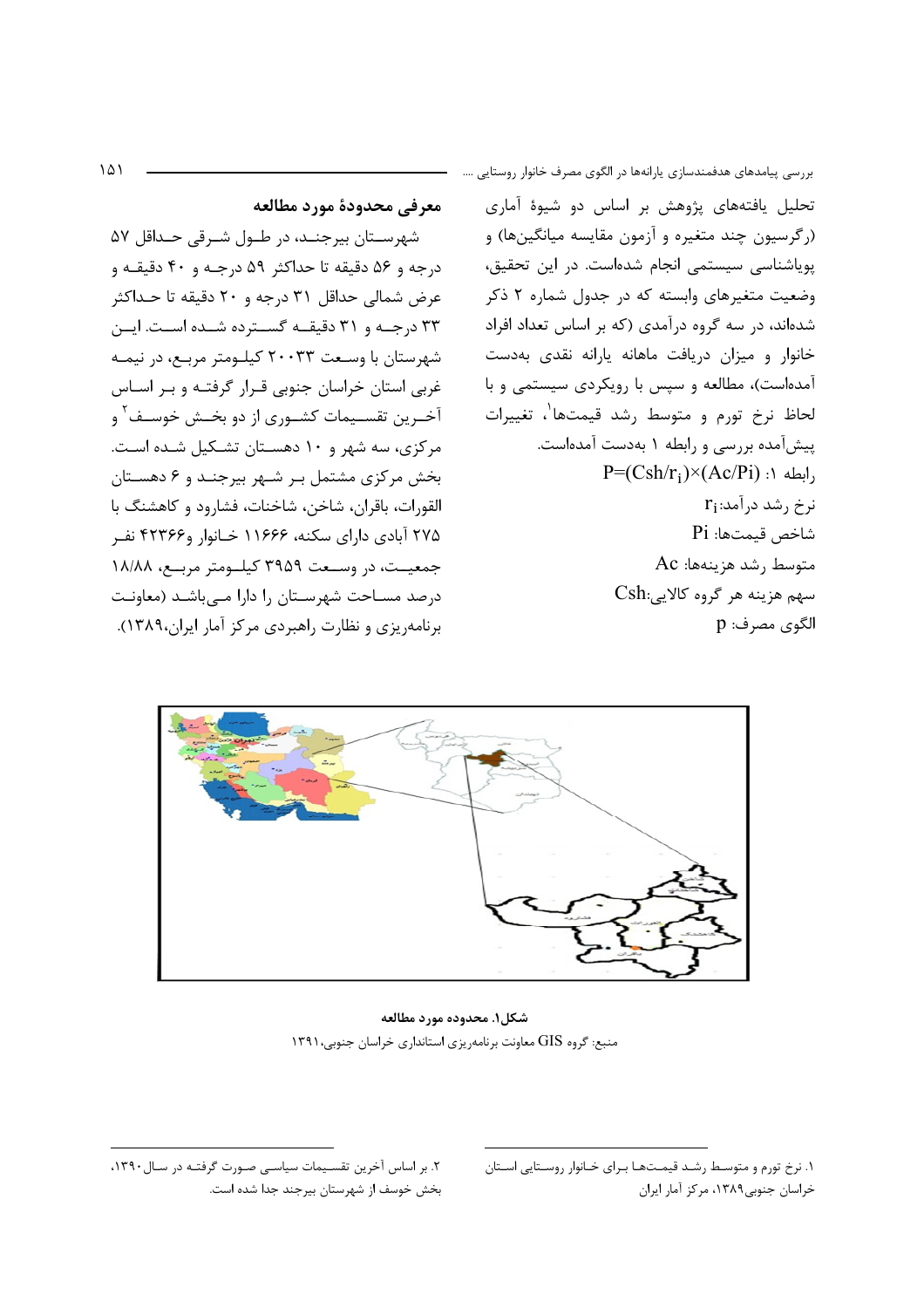$\Delta$ 

معرفي محدودة مورد مطالعه

شهرســتان بيرجنــد، در طــول شــرقي حــداقل ۵۷ درجه و ۵۶ دقیقه تا حداکثر ۵۹ درجـه و ۴۰ دقیقـه و عرض شمالي حداقل ٣١ درجه و ٢٠ دقيقه تا حـداكثر ۳۳ درجـه و ۳۱ دقیقـه گسـترده شـده اسـت. ایـن شهرستان با وسـعت ۲۰۰۳۳ کیلـومتر مربـع، در نیمـه غربی استان خراسان جنوبی قـرار گرفتـه و بـر اسـاس آخــرین تقســیمات کشــوری از دو بخــش خوســف<sup>۲</sup> و مرکزی، سه شهر و ۱۰ دهستان تشکیل شـده اسـت. بخش مرکزی مشتمل بر شهر بیرجند و ۶ دهستان القورات، باقران، شاخن، شاخنات، فشارود و كاهشنگ با ۲۷۵ آبادی دارای سکنه، ۱۱۶۶۶ خـانوار و۲۲۳۶۶ نفـر جمعیـت، در وسـعت ۳۹۵۹ کیلـومتر مربـع، ۱۸/۸۸ درصد مسـاحت شهرسـتان را دارا مـی باشـد (معاونـت برنامه یزی و نظارت راهبردی مرکز آمار ایران،۱۳۸۹). بررسی پیامدهای هدفمندسازی یارانهها در الگوی مصرف خانوار روستایی …. تحلیل یافتههای پژوهش بر اساس دو شیوهٔ آماری (رگرسیون چند متغیره و آزمون مقایسه میانگینها) و پویاشناسی سیستمی انجام شدهاست. در این تحقیق، وضعیت متغیرهای وابسته که در جدول شماره ۲ ذکر شدهاند، در سه گروه درآمدی (که بر اساس تعداد افراد خانوار و میزان دریافت ماهانه یارانه نقدی بهدست آمدهاست)، مطالعه و سپس با رویکردی سیستمی و با لحاظ نرخ تورم و متوسط رشد قیمتها<sup>\</sup>، تغییرات پیشآمده بررسی و رابطه ۱ بهدست آمدهاست.  $P=(Csh/r_i)\times (Ac/Pi)$ : ابطه ۱:  $r_i$ نرخ رشد درآمد:  $Pi$  :شاخص قيمتها متوسط <sub>ر</sub>شد هزينهها: Ac سهم هزينه هر گروه كالايي:Csh الگوی مصرف: p



شكل۱. محدوده مورد مطالعه منبع: گروه GIS معاونت برنامهریزی استانداری خراسان جنوبی،۱۳۹۱

٢. بر اساس آخرین تقسیمات سیاسے صورت گرفتـه در سـال ١٣٩٠، بخش خوسف از شهرستان بيرجند جدا شده است. ۱. نرخ تورم و متوسط رشـد قیمـتهـا بـرای خـانوار روسـتایی اسـتان خراسان جنوبي١٣٨٩، مركز آمار ايران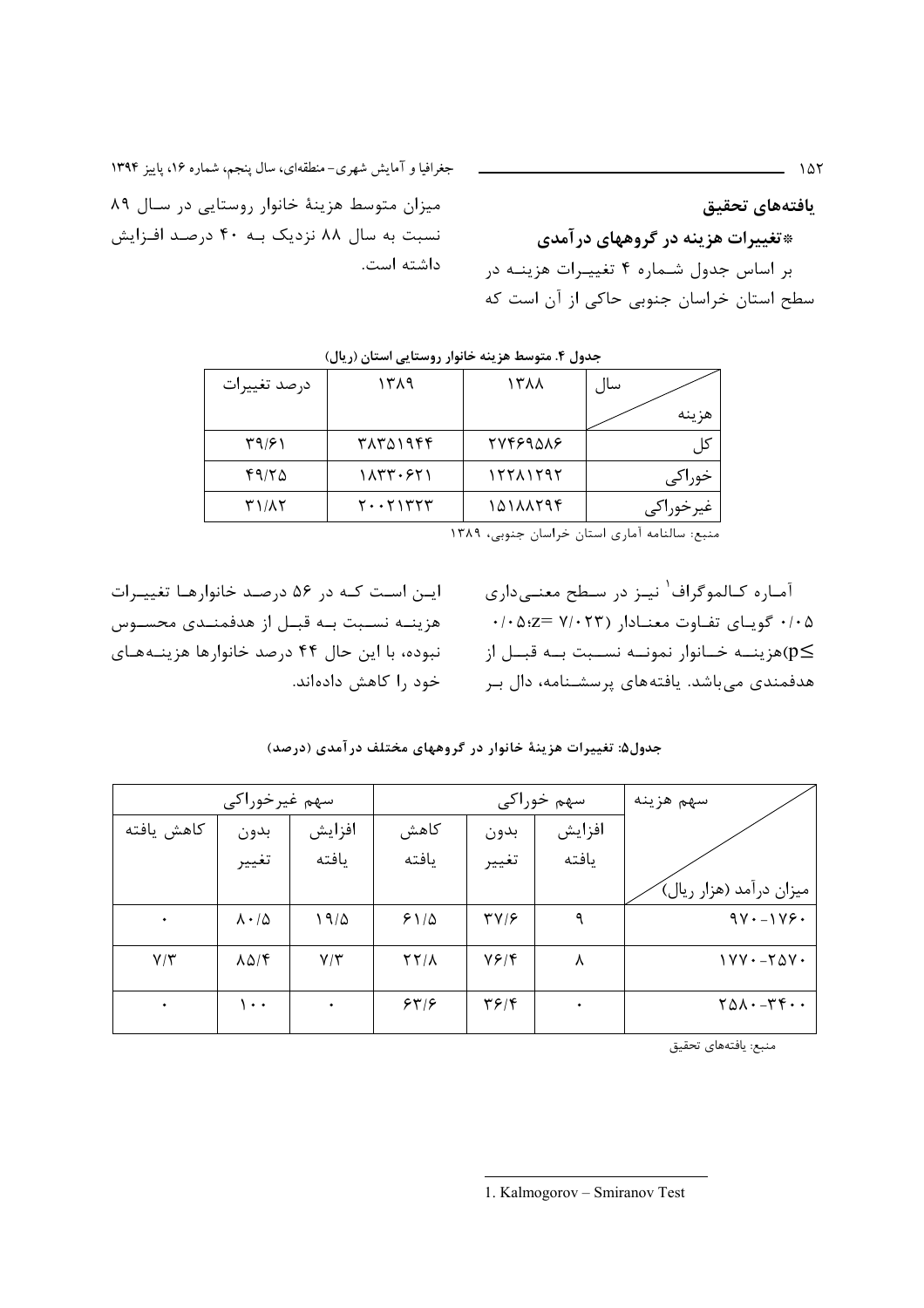يافتههاي تحقيق \*تغییرات هزینه در گروههای در آمدی بر اساس جدول شـماره ۴ تغییـرات هزینـه در سطح استان خراسان جنوبی حاکی از آن است که

جغرافیا و آمایش شهری-منطقهای، سال پنجم، شماره ۱۶، پاییز ۱۳۹۴ میزان متوسط هزینهٔ خانوار روستایی در سال ۸۹ نسبت به سال ۸۸ نزدیک بـه ۴۰ درصـد افـزایش داشته است.

| درصد تغييرات | ۱۳۸۹     | 1311                                                                                                                                | سال                                                 |
|--------------|----------|-------------------------------------------------------------------------------------------------------------------------------------|-----------------------------------------------------|
|              |          |                                                                                                                                     | هز ينه                                              |
| ۳۹/۶۱        | ۳۸۳۵۱۹۴۴ | <b>TYFF9QAF</b>                                                                                                                     |                                                     |
| ۴۹/۲۵        | 1833.921 | 17711797                                                                                                                            | خوراكي                                              |
| <b>٣١/٨٢</b> | ٢٠٠٢١٣٢٣ | 10111794                                                                                                                            | غيرخوراكي                                           |
|              |          | $\mathbf{v}$ and $\mathbf{v}$ and $\mathbf{v}$ and $\mathbf{v}$ and $\mathbf{v}$ and $\mathbf{v}$ and $\mathbf{v}$ and $\mathbf{v}$ | $\mathbf{1}$ $\mathbf{1}$ $\mathbf{1}$ $\mathbf{1}$ |

منبع: سالنامه آماری استان خراسان جنوبی، ۱۳۸۹

ایـن اسـت کـه در ۵۶ درصـد خانوارهـا تغییـرات هزينــه نســبت بــه قبــل از هدفمنــدى محســوس نبوده، با این حال ۴۴ درصد خانوارها هزینـههـای خود را کاهش دادهاند. آمـاره كـالموگراف<sup>\</sup> نيـز در سـطح معنـىدارى ۰/۰۵ گویای تفاوت معنـادار (۷/۰۲۳ =۰/۰۵:z هزينـــه خــانوار نمونـــه نســـبت بـــه قبـــل از $(p\le$ هدفمندی میباشد. یافتههای پرسشـنامه، دال بـر

| جدول۵: تغییرات هزینهٔ خانوار در گروههای مختلف در آمدی (درصد) |  |
|--------------------------------------------------------------|--|
|--------------------------------------------------------------|--|

| سهم غيرخوراكي |                          |               | سهم خوراکی                |                          |           | سهم هزينه                                |
|---------------|--------------------------|---------------|---------------------------|--------------------------|-----------|------------------------------------------|
| كاهش يافته    | بدون                     | افزايش        | كاهش                      | بدون                     | افزايش    |                                          |
|               | تغيير                    | يافته         | يافته                     | تغيير                    | يافته     |                                          |
|               |                          |               |                           |                          |           | میزان درآمد (هزار ریال)َ                 |
| $\bullet$     | $\Lambda \cdot / \Delta$ | 19/2          | $51/\Delta$               | $\Upsilon V/\mathcal{F}$ | ٩         | $9V - 1V9$                               |
| $Y/\Upsilon$  | $\lambda \Delta / f$     | $V/\tilde{v}$ | $\gamma \gamma / \lambda$ | Y5/F                     | ٨         | $1YY - Y\Delta Y$                        |
| $\bullet$     | $\cdots$                 | ٠             | 549                       | $\mathbf{y}$             | $\bullet$ | $Y\Delta\lambda\cdot -Y\gamma\cdot\cdot$ |

منبع: يافتههاي تحقيق

 $\overline{\phantom{a}}$  187

<sup>1.</sup> Kalmogorov - Smiranov Test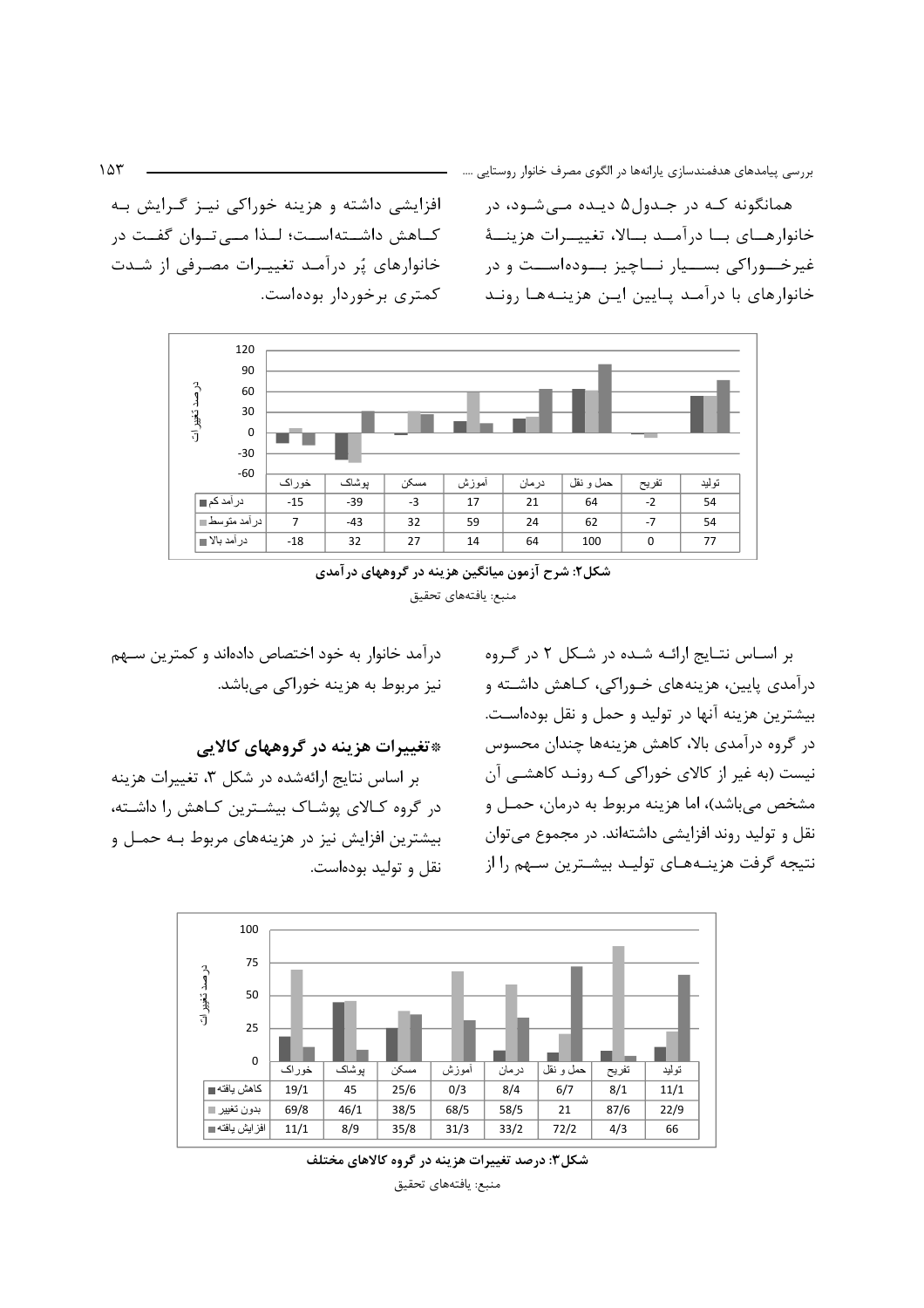افزایشی داشته و هزینه خوراکی نیـز گـرایش بـه كــاهش داشــته|ســت؛ لــذا مـــ تــوان گفــت در خانوارهای پُر درآمد تغییرات مصرفی از شدت كمترى برخوردار بودهاست.

همانگونه کـه در جـدول۵ دیـده مـیشـود، در خانوارهـــاي بـــا درآمـــد بـــالا، تغييـــرات هزينــــهٔ غیرخـــوراکی بســـیار نـــاچیز بـــودهاســت و در خانوارهای با درآمـد پـایین ایـن هزینـههـا رونـد



شکل۲: شرح آزمون میانگین هزینه در گروههای در آمدی منبع: يافتههاي تحقيق

درآمد خانوار به خود اختصاص دادهاند و کمترین سـهم نیز مربوط به هزینه خوراکی میباشد.

\*تغییرات هزینه در گروههای کالایی

بر اساس نتایج ارائهشده در شکل ۳، تغییرات هزینه در گروه کـالای پوشـاک بیشـترین کـاهش را داشـته، بیشترین افزایش نیز در هزینههای مربوط بـه حمـل و نقل و تولید بودهاست. بر اسـاس نتـايج ارائـه شـده در شـكل ۲ در گـروه درآمدی پایین، هزینههای خـوراکی، کـاهش داشـته و بیشترین هزینه آنها در تولید و حمل و نقل بودهاست. در گروه درآمدی بالا، کاهش هزینهها چندان محسوس نیست (به غیر از کالای خوراکی کـه رونـد کاهشـی آن مشخص مي باشد)، اما هزينه مربوط به درمان، حمـل و نقل و تولید روند افزایشی داشتهاند. در مجموع می توان نتیجه گرفت هزینـههـای تولیـد بیشـترین سـهم را از



شکل۳: درصد تغییرات هزینه در گروه کالاهای مختلف منبع: يافتههاى تحقيق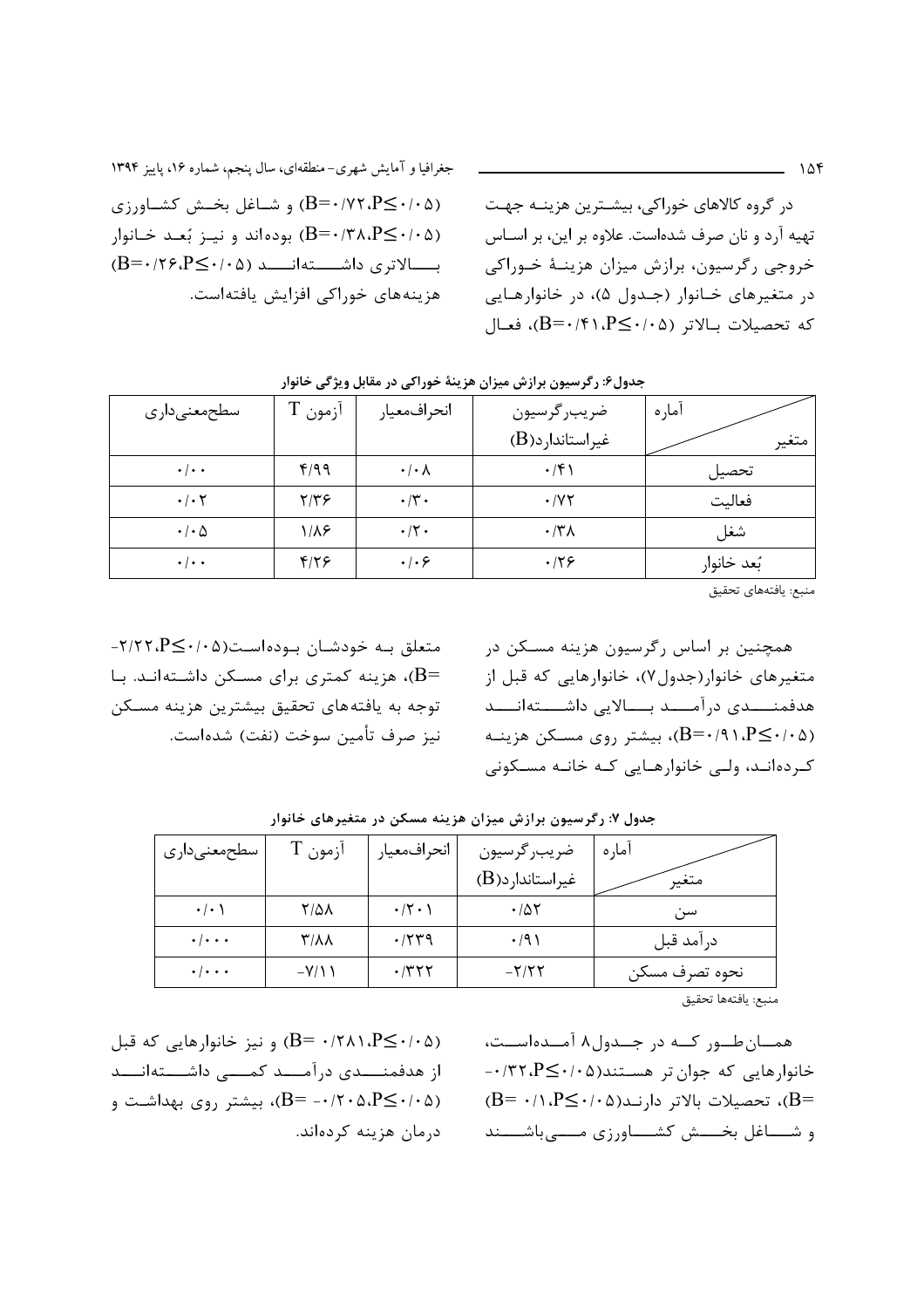(B=٠/٧٢،P $\leq$ ۰/۰۵) و شـاغل بخـش كشـاورزى (B=۰/۳۸،P≤۰/۰۵) بودهاند و نیـز بُعـد خـانوار  $(B = \cdot 75. P \leq \cdot 10. P \leq \cdot 10. P \leq \cdot 10. P \leq \cdot 10. P \leq \cdot 10. P \leq \cdot 10. P \leq \cdot 10. P \leq \cdot 10. P \leq \cdot 10. P \leq \cdot 10. P \leq \cdot 10. P \leq \cdot 10. P \leq \cdot 10. P \leq \cdot 10. P \leq \cdot 10. P \leq \cdot 10. P \leq \cdot 10. P \leq \cdot 10. P \leq \cdot 10. P \leq \cdot 10. P \leq \cdot 10. P$ هزینههای خوراکی افزایش یافتهاست. در گروه کالاهای خوراکی، بیشـترین هزینـه جهـت تهیه آرد و نان صرف شدهاست. علاوه بر این، بر اسـاس خروجي رگرسيون، برازش ميزان هزينــهٔ خــوراكي در متغیرهای خانوار (جدول ۵)، در خانوارهایی  $B = \cdot (B = \cdot \cdot \cdot P \leq \cdot \cdot \cdot \cdot P$ كه تحصيلات بـالاتر (١٠٤--8)، فعـال

| سطحمعنىدارى                | آزمون | انحرافمعيار                  | ضريب رگرسيون            | آماره       |
|----------------------------|-------|------------------------------|-------------------------|-------------|
|                            |       |                              | $(B)$ غیراستاندار د     | متغير       |
| $\cdot$ / $\cdot$ $\cdot$  | f/99  | $\cdot/\cdot \wedge$         | $\cdot$ /۴۱             | تحصيل       |
| $\cdot$ / $\cdot$ $\cdot$  | ۲/۳۶  | $\cdot/\tau$ .               | $\cdot$ / $\vee$ $\vee$ | فعاليت      |
| $\cdot$ / $\cdot$ $\Delta$ | ۱۱۸۶  | $\cdot$ /٢ $\cdot$           | $\cdot$ /٣٨             | شغل         |
| $\cdot$ / $\cdot$ $\cdot$  | 8/79  | $\cdot$ / $\cdot$ $\epsilon$ | .79                     | بُعد خانوار |

جدول۶: رگرسیون برازش میزان هزینهٔ خوراکی در مقابل ویژگی خانوار

منبع: يافتههاى تحقيق

متعلق به خودشان بوده است(۲/۲۲، P<۰/۰۵ =B)، هزینه کمتری برای مسـکن داشـتهانـد. بـا توجه به یافتههای تحقیق بیشترین هزینه مسـکن نيز صرف تأمين سوخت (نفت) شدهاست.

همچنین بر اساس رگرسیون هزینه مسـکن در متغیرهای خانوار(جدول۷)، خانوارهایی که قبل از هدفمنـــدى درآمـــد بـــالايي داشــــتهانـــد (B=۰/۹۱، $P \leq \cdot$ ۰/۵)، بیشتر روی مسکن هزینـه کے دہ انید، ولیے خانوارهیایی کیه خانیه مسیکونی

| سطحمعنىدارى         | ازمون T     | انحرافمعيار          | ضريب رگرسيون    | آمار ه         |
|---------------------|-------------|----------------------|-----------------|----------------|
|                     |             |                      | غیراستاندارد(B) | متغير          |
| $\cdot$ / $\cdot$ ) | 7/51        | $\cdot$ /۲ $\cdot$ ) | ۰/۵۲            | سن             |
| $\cdot \cdot \cdot$ | <b>T/11</b> | $\cdot$ /۲۳۹         | $\cdot$ /9)     | در آمد قبل     |
| $\cdot \cdot \cdot$ | $-V/11$     | ۰/۳۲۲                | $-Y/55$         | نحوه تصرف مسكن |

جدول ۷: رگرسیون برازش میزان هزینه مسکن در متغیرهای خانوار

منبع: يافتهها تحقيق

(B= ۰/۲۸۱،P ≤۰/۰۵) و نیز خانوارهایی که قبل از هدفمنـــدى درآمـــد كمـــى داشـــتهانـــد (B= -٠/٢٠۵،P $\leq$ ۰/۲۰۵)، بیشتر روی بهداشت و درمان هزینه کردهاند.

همــانطــور کــه در جــدول۸ آمــدهاســت، خانوارهایی که جوان تر هستند(۲۰۵-۰/۳۲،P)۰- $B = \cdot / \cdot P \leq \cdot / \cdot \omega$ ، تحصیلات بالاتر دارند $\Delta P = \cdot / \cdot P$ و شـــاغل بخـــش كشـــاورزى مــــى باشــــند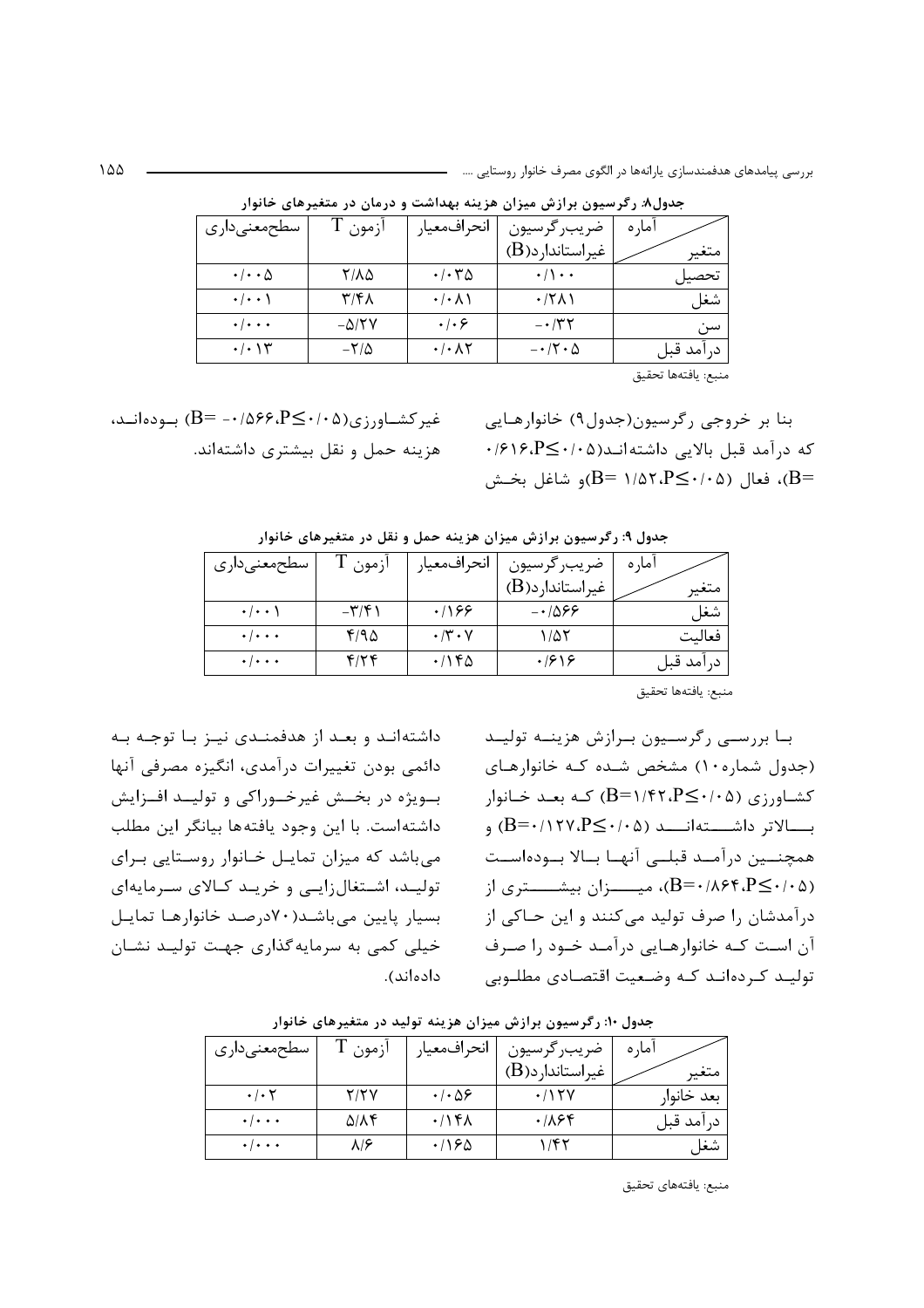| سطحمعنىدارى                | ازمون 1          | انحرافمعيار                    | ضريب رگرسيون             | امار ہ    |
|----------------------------|------------------|--------------------------------|--------------------------|-----------|
|                            |                  |                                | غیراستاندار د(B)         | متغير     |
| $\cdot$ / $\cdot$ $\Delta$ | 8/10             | $\cdot/\cdot \tau \Delta$      | $\cdot/\cdot$            | تحصيل     |
| $\cdot$ / $\cdot$ \        | ۳/۴۸             | $\cdot/\cdot$ $\wedge$ \       | $\cdot$ /۲۸۱             | شغل       |
| $\cdot \cdot \cdot$        | $-\Delta$ /۲۷    | $\cdot \cdot \cdot$            | $- \cdot 77$             | سن        |
| $\cdot/\cdot$ \ \ \ \      | $-\nabla/\Delta$ | $\cdot$ / $\cdot$ / $\uparrow$ | $- \cdot 7 \cdot \Delta$ | درآمد قبل |

جدول۸: رگرسیون برازش میزان هزینه بهداشت و درمان در متغیرهای خانوار

منبع: يافتهها تحقيق

غیر کشــاورزی(۱۰۵-۶۶، ۱۵۶۶)۰- =B) بـودهانــد، هزینه حمل و نقل بیشتری داشتهاند. بنا بر خروجي رگرسيون(جدول۹) خانوارهـايي که درآمد قبل بالایی داشتهانـد(۱۰۵-۱۶۱۶،P≤۰/۰ ، فعال (۲۰۵–۹۲،۲۵۲،P $\leq$ ۰/۵۲،P)و شاغل بخـش

| سطحمعنىدارى               | ازمون                    | انحرافمعيار               | ضريب رگرسيون        | اما, ہ     |
|---------------------------|--------------------------|---------------------------|---------------------|------------|
|                           |                          |                           | $(B)$ غیراستاندار د | متغير      |
| $\cdot$   $\cdot$ \       | $-\mathbf{r}/\mathbf{r}$ | .199                      | $-1\Delta$ ۶۶       | شغل        |
| $\cdot \cdot \cdot$       | 410                      | $\cdot$ /۳ $\cdot$ $\vee$ | ۱٬۵۲                | فعالىت     |
| $\cdot$ / $\cdot$ $\cdot$ | f/Yf                     | $\cdot$ /۱۴۵              | .1919               | در آمد قبل |

جدول ۹: رگرسیون برازش میزان هزینه حمل و نقل در متغیرهای خانوار

منبع: يافتهها تحقيق

بـا بررســی رگرســیون بـرازش هزینــه تولیــد (جدول شماره ۱۰) مشخص شده کـه خانوارهـای  $B=1/FY.P\leq r\cdot P$ کشاورزی (۱۰۵–B) که بعــد خــانوار بــــالاتر داشــــتهانــــد (۵۰/۰۵-B=۰/۱۲۷،P) و همچنــین درآمــد قبلــی آنهــا بــالا بــودهاســت (B=۰/۸۶۴،P≤۰/۰۵)، میــــزان بیشــــتری از درآمدشان را صرف تولید می کنند و این حـاکی از آن است کـه خانوارهـایی درآمـد خـود را صـرف تولیـد کـردهانـد کـه وضـعیت اقتصـادی مطلـوبی

داشته اند و بعـد از هدفمنـدی نیـز بـا توجـه بـه دائمی بودن تغییرات درآمدی، انگیزه مصرفی آنها ب ويژه در بخــش غيرخــوراكي و توليــد افــزايش داشتهاست. با این وجود یافتهها بیانگر این مطلب می باشد که میزان تمایـل خـانوار روسـتایی بـرای تولیـد، اشـتغال;ایـی و خریـد کـالای سـرمایهای بسیار پایین می باشـد(٧٠درصـد خانوارهـا تمایـل خیلی کمی به سرمایه گذاری جهت تولیـد نشـان دادەاند).

| سطحمعنىدارى               | ازمون              | انحرافمعيار                  | ضريب رگرسيون                 | اما، ہ     |
|---------------------------|--------------------|------------------------------|------------------------------|------------|
|                           |                    |                              | غيراستاندا <sub>ر</sub> د(B) | متغير      |
| $\cdot$ / $\cdot$ $\cdot$ | Y/YY               | $\cdot$ / $\cdot$ $\Delta$ ۶ | $\cdot$ /۱۲۷                 | بعد خانوار |
| $\cdot \cdot \cdot$       | $\Delta/\Lambda$ ۴ | .797                         | ۰/۸۶۴                        | در آمد قبل |
| $\cdot \cdot \cdot$       |                    | ۱۶۵،                         | 157                          | شغر        |

جدول ۱۰: رگرسیون برازش میزان هزینه تولید در متغیرهای خانوار

منبع: يافتههاي تحقيق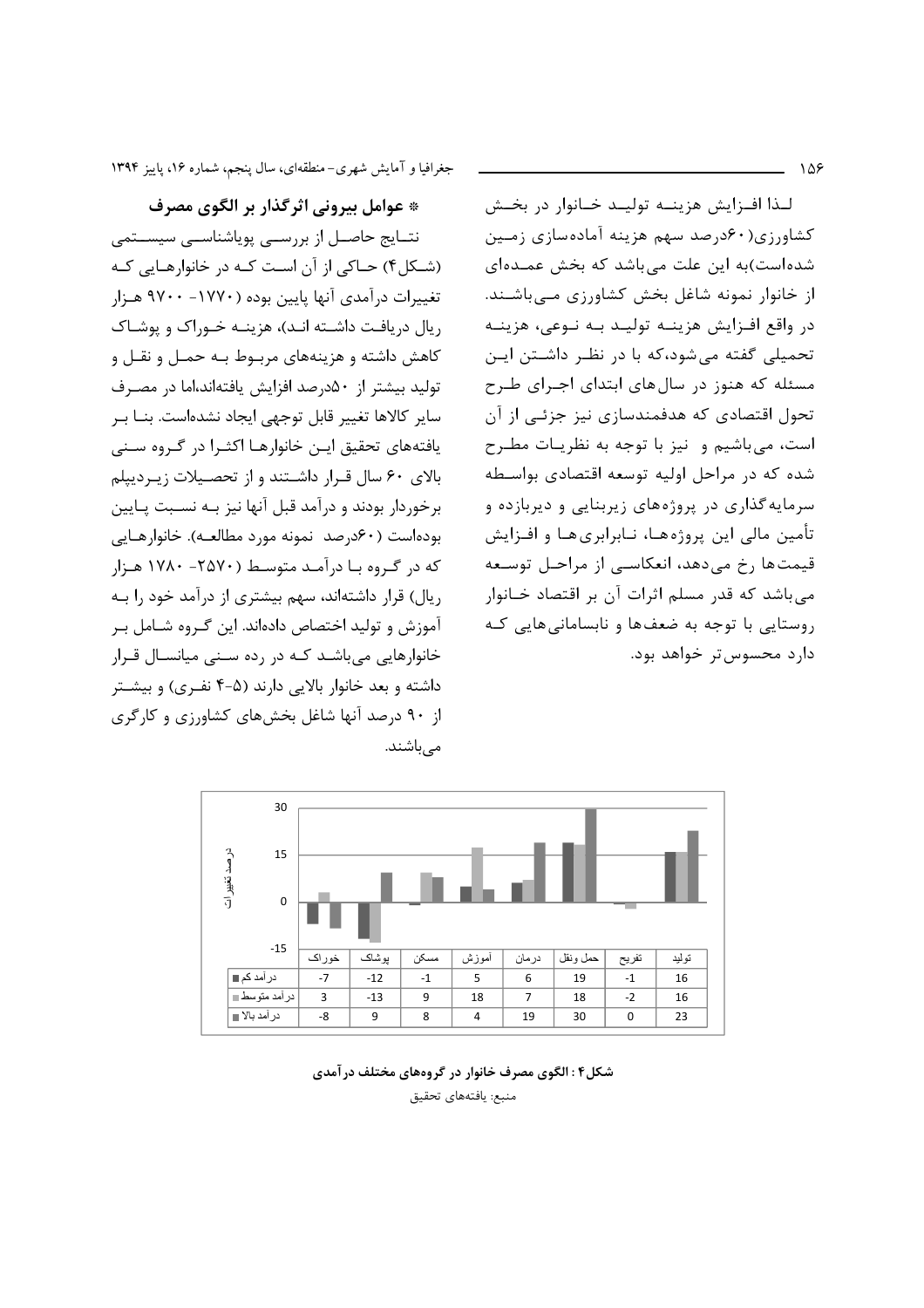$\Delta$ 

جغرافیا و آمایش شهری-منطقهای، سال پنجم، شماره ۱۶، پاییز ۱۳۹۴

\* عوامل بيروني اثر گذار بر الگوي مصرف نتــایج حاصــل از بررســی پویاشناســی سیســتمی (شکل۴) حـاکی از آن اسـت کـه در خانوارهـایی کـه تغییرات درآمدی آنها پایین بوده (۱۷۷۰- ۹۷۰۰ هـزار ریال دریافت داشته انـد)، هزینـه خـوراک و یوشـاک كاهش داشته و هزینههای مربوط بـه حمـل و نقـل و تولید بیشتر از ۵۰درصد افزایش یافتهاند،اما در مصـرف سایر کالاها تغییر قابل توجهی ایجاد نشدهاست. بنــا بــر یافتههای تحقیق ایـن خانوارهـا اکثـرا در گـروه سـنی بالای ۶۰ سال قرار داشتند و از تحصیلات زیردیپلم برخوردار بودند و درآمد قبل آنها نیز بـه نسـبت پـایین بوده است (۶۰درصد نمونه مورد مطالعه). خانوارهـایی که در گروه با درآمد متوسط (۲۵۷۰- ۱۷۸۰ هـزار ریال) قرار داشتهاند، سهم بیشتری از درآمد خود را بـه آموزش و تولید اختصاص دادهاند. این گـروه شـامل بـر خانوارهایی می باشـد کـه در رده سـنی میانسـال قـرار داشته و بعد خانوار بالایی دارند (۵-۴ نفـری) و بیشـتر از ۹۰ درصد آنها شاغل بخشهای کشاورزی و کارگری مے باشند.

لـذا افـزايش هزينــه توليــد خــانوار در بخــش کشاورزی(۶۰درصد سهم هزینه آمادهسازی زمین شده است)به این علت می باشد که بخش عمـدهای از خانوار نمونه شاغل بخش کشاورزی مےباشند. در واقع افـزايش هزينــه توليــد بــه نــوعى، هزينــه تحمیلی گفته میشود،که با در نظر داشتن این مسئله که هنوز در سال های ابتدای اجـرای طـرح تحول اقتصادی که هدفمندسازی نیز جزئـی از آن است، می باشیم و نیز با توجه به نظریات مطرح شده که در مراحل اولیه توسعه اقتصادی بواسطه سرمایه گذاری در پروژههای زیربنایی و دیربازده و تأمين مالي اين پروژههـا، نـابرابريهـا و افـزايش قیمتها رخ میدهد، انعکاسی از مراحل توسعه می باشد که قدر مسلم اثرات آن بر اقتصاد خـانوار روستایی با توجه به ضعفها و نابسامانی هایی کـه دارد محسوس تر خواهد بود.



#### شکل۴: الگوی مصرف خانوار در گروههای مختلف در آمدی منبع: يافتههاى تحقيق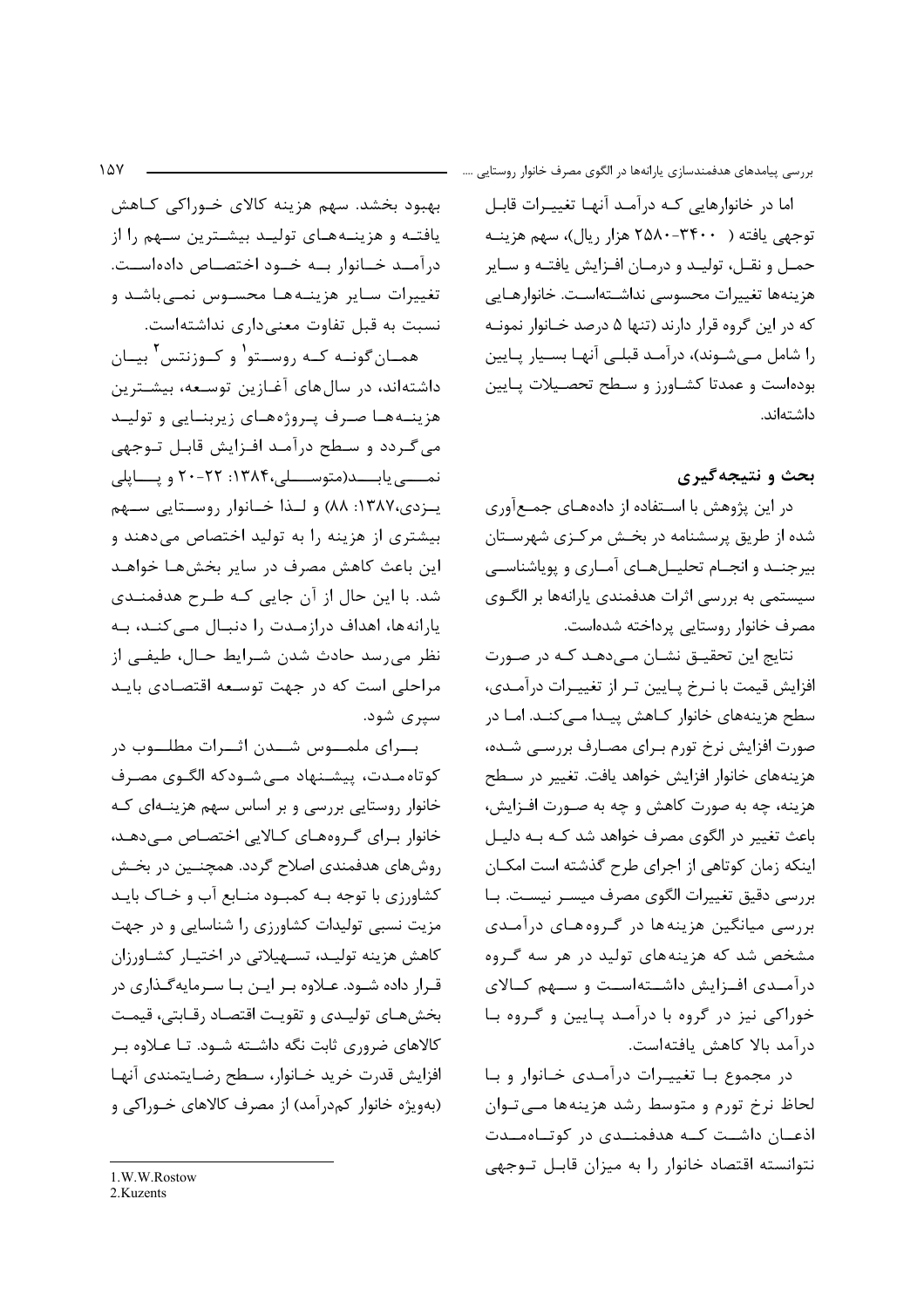اما در خانوارهایی کـه درآمـد آنهـا تغییـرات قابـل توجهی یافته ( ۳۴۰۰-۲۵۸۰ هزار ریال)، سهم هزینـه حمـل و نقـل، توليـد و درمـان افـزايش يافتـه و سـاير هزينهها تغييرات محسوسي نداشـتهاسـت. خانوارهـايي که در این گروه قرار دارند (تنها ۵ درصد خـانوار نمونـه را شامل مےشوند)، درآمد قبلے آنهـا بسـيار پـايين بودهاست و عمدتا كشاورز و سطح تحصيلات يايين داشتهاند.

### بحث و نتيجه گيري

در این پژوهش با استفاده از دادههای جمعآوری شده از طریق پرسشنامه در بخـش مرکـزی شهرسـتان بیرجنـد و انجـام تحلیــلهــای آمــاری و پویاشناســی سیستمی به بررسی اثرات هدفمندی پارانهها بر الگـوی مصرف خانوار روستايي پرداخته شدهاست.

نتايج اين تحقيــق نشــان مــيcهــد كــه در صــورت افزایش قیمت با نـرخ پـایین تـر از تغییـرات درآمـدی، سطح هزینههای خانوار کـاهش پیـدا مـی کنـد. امـا در صورت افزایش نرخ تورم بـرای مصـارف بررسـی شـده، هزینههای خانوار افزایش خواهد یافت. تغییر در سطح هزینه، چه به صورت کاهش و چه به صـورت افـزایش، باعث تغییر در الگوی مصرف خواهد شد کـه بـه دلیـل اینکه زمان کوتاهی از اجرای طرح گذشته است امکـان بررسی دقیق تغییرات الگوی مصرف میسـر نیسـت. بـا بررسی میانگین هزینهها در گروههای درآمدی مشخص شد که هزینههای تولید در هر سه گروه درآمـدی افـزایش داشـتهاسـت و سـهم کـالای خوراکی نیز در گروه با درآمد پایین و گروه با درآمد بالا كاهش يافتهاست.

در مجموع با تغییـرات درآمـدی خـانوار و بـا لحاظ نرخ تورم و متوسط رشد هزينهها ميى توان اذعـان داشـت كـه هدفمنـدى در كوتـاهمـدت نتوانسته اقتصاد خانوار را به میزان قابل توجهی

بهبود بخشد. سهم هزینه کالای خـوراکی کـاهش یافتـه و هزینـههـای تولیـد بیشـترین سـهم را از درآمـد خـانوار بـه خـود اختصـاص دادهاسـت. تغییرات سایر هزینهها محسوس نمی باشد و نسبت به قبل تفاوت معنى دارى نداشته است.

همـان5گونــه كــه روســتو<sup>۱</sup> و كــوزنتس<sup>٢</sup> بيــان داشتهاند، در سالهای آغـازین توسـعه، بیشـترین هزینـههـا صـرف پـروژههـای زیربنـایی و تولیـد می گـردد و سـطح درآمـد افـزايش قابـل تـوجهي نمسي يابسد(متوسسلي،١٣٨۴: ٢٢-٢٠ ويسايلي يـزدى،١٣٨٧: ٨٨) و لـذا خـانوار روسـتايي سـهم بیشتری از هزینه را به تولید اختصاص می دهند و این باعث کاهش مصرف در سایر بخشهـا خواهـد شد. با این حال از آن جایی کـه طـرح هدفمنـدی یارانهها، اهداف درازمدت را دنبال مے کند، به نظر مي,رسد حادث شدن شـرايط حـال، طيفـي از مراحلی است که در جهت توسعه اقتصادی باید سیری شود.

بسرای ملمسوس شسدن اثسرات مطلسوب در کوتاه مـدت، پیشـنهاد مـی شـودکه الگـوی مصـرف خانوار روستایی بررسی و بر اساس سهم هزینــهای کــه خانوار برای گروههای کالایی اختصاص میدهد، , وش های هدفمندی اصلاح گردد. همچنـین در بخـش کشاورزی با توجه بـه کمبـود منـابع آب و خـاک بایـد مزیت نسبی تولیدات کشاورزی را شناسایی و در جهت كاهش هزينه توليد، تسهيلاتي در اختيـار كشـاورزان قـرار داده شـود. عـلاوه بـر ايـن بـا سـرمايهگـذارى در بخش هـاي توليـدي و تقويـت اقتصـاد رقـابتي، قيمـت کالاهای ضروری ثابت نگه داشــته شــود. تــا عــلاوه بــر افزايش قدرت خريد خـانوار، سـطح رضـايتمندى آنهـا (بهویژه خانوار کمدرآمد) از مصرف کالاهای خـوراکی و

<sup>1.</sup>W.W.Rostow

<sup>2</sup> Kuzents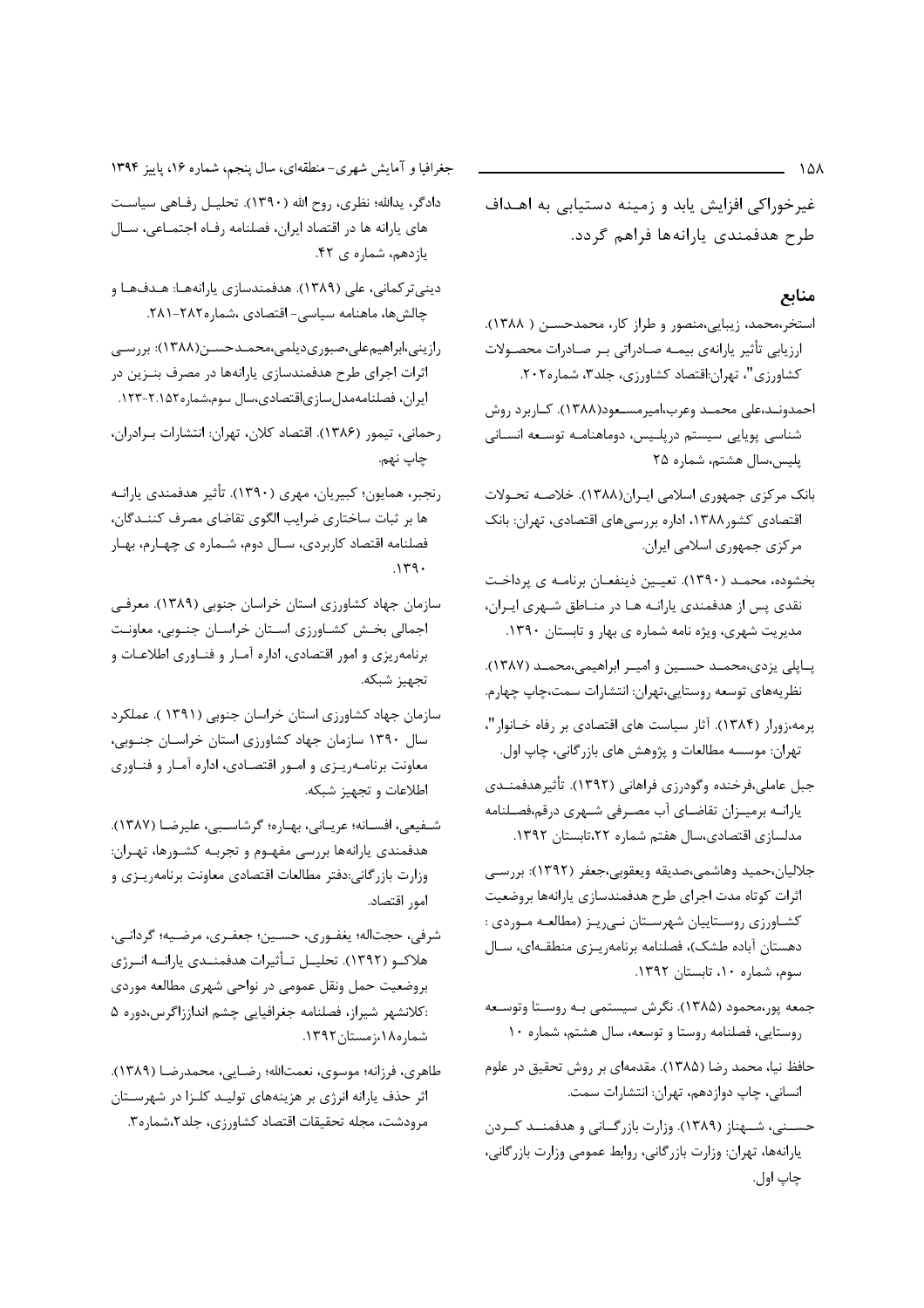غیرخوراکی افزایش یابد و زمینه دستیابی به اهـداف طرح هدفمندی پارانهها فراهم گردد.

#### منابع

- استخر،محمد، زیبایی،منصور و طراز کار، محمدحسـن ( ۱۳۸۸). ارزيابي تأثير يارانهي بيمـه صـادراتي بـر صـادرات محصـولات كشاورزي"، تهران:اقتصاد كشاورزي، جلد٣، شماره٢٠٢.
- احمدونـد،علی محمـد وعرب،امیرمسـعود(۱۳۸۸). کـاربرد روش شناسی پویایی سیستم درپلیس، دوماهنامـه توسـعه انسـانی يليس،سال هشتم، شماره ٢٥
- بانک مرکزی جمهوری اسلامی ایران(۱۳۸۸). خلاصه تحولات اقتصادی کشور ۱۳۸۸، اداره بررسیهای اقتصادی، تهران: بانک مرکزی جمهوری اسلامی ایران.
- بخشوده، محمـد (١٣٩٠). تعيـين ذينفعـان برنامـه ي پرداخـت نقدی پس از هدفمندی یارانـه هـا در منـاطق شـهری ایـران، مدیریت شهری، ویژه نامه شماره ی بهار و تابستان ۱۳۹۰.
- پاپلی یزدی،محمـد حسـین و امیـر ابراهیمی،محمـد (۱۳۸۷). نظريههاي توسعه روستايي،تهران: انتشارات سمت،چاپ چهارم.
- پرمه،زورار (۱۳۸۴). آثار سیاست های اقتصادی بر رفاه خـانوار"، تهران: موسسه مطالعات و پژوهش های بازرگانی، چاپ اول.
- جبل عاملي،فرخنده وگودرزي فراهاني (١٣٩٢). تأثيرهدفمنـدي یارانـه برمیـزان تقاضـای آب مصـرفی شـهری درقم،فصـلنامه مدلسازی اقتصادی،سال هفتم شماره ٢٢،تابستان ١٣٩٢.
- جلاليان،حميد وهاشمي،صديقه ويعقوبي،جعفر (١٣٩٢): بررسي اثرات كوتاه مدت اجراي طرح هدفمندسازي يارانهها بروضعيت كشـاورزي روسـتاييان شهرسـتان نـي٫يـز (مطالعـه مـوردي : دهستان آباده طشک)، فصلنامه برنامهريـزي منطقـهاي، سـال سوم، شماره ١٠، تابستان ١٣٩٢.
- جمعه پور،محمود (۱۳۸۵). نگرش سیستمی بـه روســتا وتوســعه روستایی، فصلنامه روستا و توسعه، سال هشتم، شماره ۱۰
- حافظ نیا، محمد رضا (۱۳۸۵). مقدمهای بر روش تحقیق در علوم انسانی، چاپ دوازدهم، تهران: انتشارات سمت.
- حسـني، شـهناز (١٣٨٩). وزارت بازرگـاني و هدفمنـد كـردن يارانهها، تهران: وزارت بازرگاني، روابط عمومي وزارت بازرگاني، چاپ اول.

جغرافیا و آمایش شهری-منطقهای، سال پنجم، شماره ۱۶، پاییز ۱۳۹۴

- دادگر، يدالله؛ نظري، روح الله (١٣٩٠). تحليـل رفـاهي سياسـت های یارانه ها در اقتصاد ایران، فصلنامه رفاه اجتمـاعی، سـال یازدهم، شماره ی ۴۲.
- دینیتر کمانی، علی (۱۳۸۹). هدفمندسازی پارانههـا: هـدفهـا و چالشها، ماهنامه سیاسی- اقتصادی ،شماره۲۸۲-۲۸۱.
- رازینی،ابراهیم علی،صبوری دیلمی،محمـدحسـن(۱۳۸۸): بررسـی اثرات اجرای طرح هدفمندسازی یارانهها در مصرف بنـزین در ايران، فصلنامهمدلسازياقتصادي،سال سوم،شماره١٥٢-١٢٣.
- رحماني، تيمور (١٣٨۶). اقتصاد كلان، تهران: انتشارات بـرادران، چاپ نهم.
- رنجبر، همايون؛ كبيريان، مهري (١٣٩٠). تأثير هدفمندي يارانـه ها بر ثبات ساختاري ضرايب الگوي تقاضاي مصرف كننـدگان، فصلنامه اقتصاد کاربردی، سـال دوم، شـماره ی چهـارم، بهـار  $.149.$
- سازمان جهاد كشاورزي استان خراسان جنوبي (١٣٨٩). معرفي اجمالي بخش كشاورزى استان خراسان جنوبي، معاونت برنامهریزی و امور اقتصادی، اداره آمـار و فنـاوری اطلاعـات و تجهيز شبكه.
- سازمان جهاد کشاورزی استان خراسان جنوبی (۱۳۹۱ ). عملکرد سال ۱۳۹۰ سازمان جهاد کشاورزی استان خراسان جنوبی، معاونت برنامـهريـزي و امـور اقتصـادي، اداره أمـار و فنـاوري اطلاعات و تجهیز شبکه.
- شفيعي، افسـانه؛ عربـاني، بهـاره؛ كرشاسـبي، عليرضـا (١٣٨٧). هدفمندی یارانهها بررسی مفهـوم و تجربـه کشـورها، تهـران: وزارت بازرگانی:دفتر مطالعات اقتصادی معاونت برنامهريـزى و امور اقتصاد.
- شرفي، حجتاله؛ يغفـوري، حسـين؛ جعفـري، مرضـيه؛ گردانـي، هلاکــو (۱۳۹۲). تحليــل تــأثيرات هدفمنــدي يارانــه انــرژي بروضعیت حمل ونقل عمومی در نواحی شهری مطالعه موردی :كلانشهر شيراز، فصلنامه جغرافيايي چشم انداززاگرس،دوره ۵ شماره١٨،زمستان١٣٩٢.
- طاهري، فرزانه؛ موسوي، نعمتالله؛ رضـايي، محمدرضـا (١٣٨٩). اثر حذف یارانه انرژی بر هزینههای تولیـد کلـزا در شهرسـتان مرودشت، مجله تحقيقات اقتصاد كشاورزى، جلد٢،شماره٣.

 $\lambda$